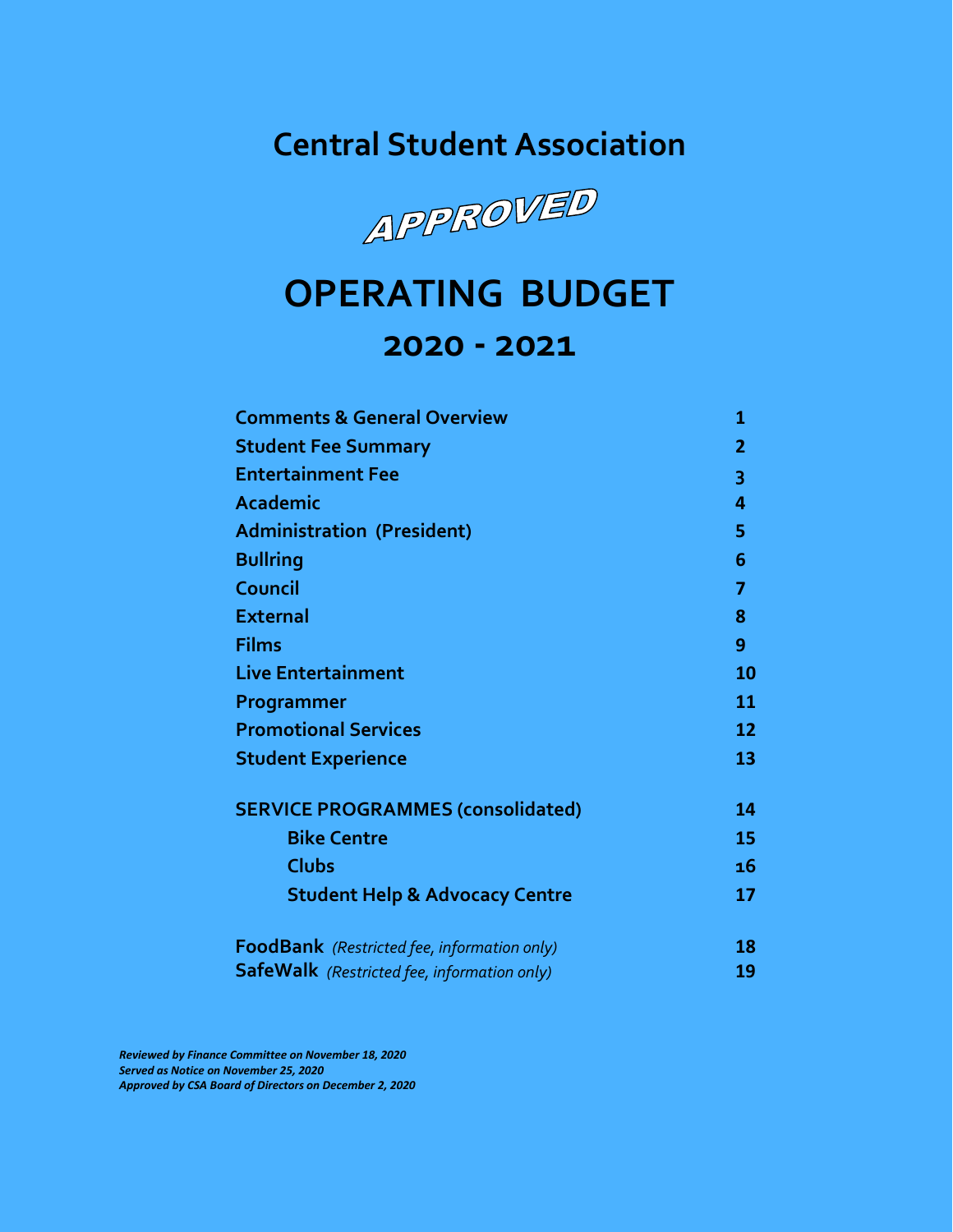**Central Student Association**



# **OPERATING BUDGET 2020 - 2021**

| <b>Comments &amp; General Overview</b>             | 1            |
|----------------------------------------------------|--------------|
| <b>Student Fee Summary</b>                         | $\mathbf{2}$ |
| <b>Entertainment Fee</b>                           | 3            |
| Academic                                           | 4            |
| <b>Administration (President)</b>                  | 5            |
| <b>Bullring</b>                                    | 6            |
| Council                                            | 7            |
| <b>External</b>                                    | 8            |
| <b>Films</b>                                       | 9            |
| <b>Live Entertainment</b>                          | 10           |
| Programmer                                         | 11           |
| <b>Promotional Services</b>                        | 12           |
| <b>Student Experience</b>                          | 13           |
| <b>SERVICE PROGRAMMES (consolidated)</b>           | 14           |
| <b>Bike Centre</b>                                 | 15           |
| <b>Clubs</b>                                       | 16           |
| <b>Student Help &amp; Advocacy Centre</b>          | 17           |
| FoodBank (Restricted fee, information only)        | 18           |
| <b>SafeWalk</b> (Restricted fee, information only) | 19           |

*Reviewed by Finance Committee on November 18, 2020 Served as Notice on November 25, 2020 Approved by CSA Board of Directors on December 2, 2020*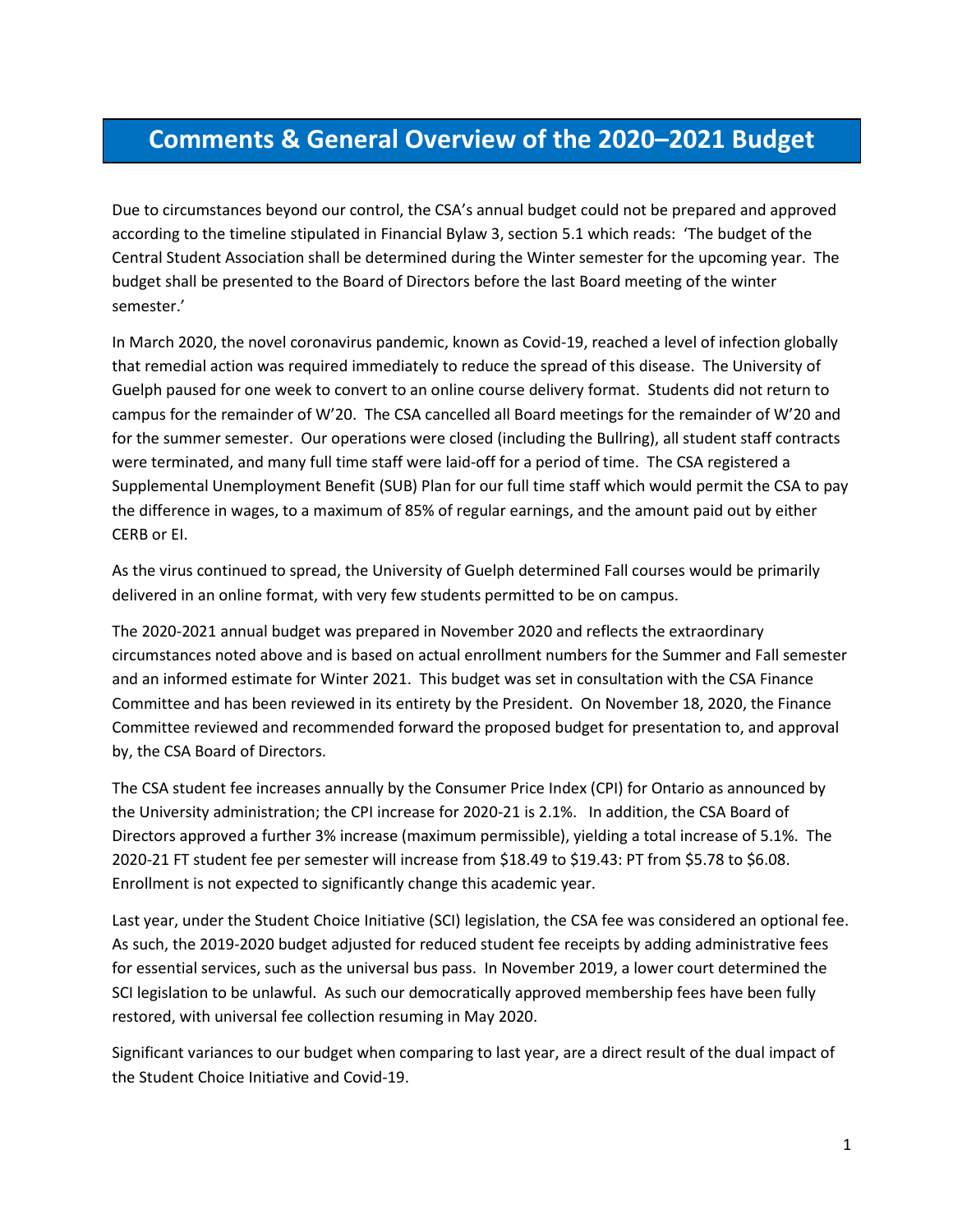### **Comments & General Overview of the 2020–2021 Budget**

Due to circumstances beyond our control, the CSA's annual budget could not be prepared and approved according to the timeline stipulated in Financial Bylaw 3, section 5.1 which reads: 'The budget of the Central Student Association shall be determined during the Winter semester for the upcoming year. The budget shall be presented to the Board of Directors before the last Board meeting of the winter semester.'

In March 2020, the novel coronavirus pandemic, known as Covid-19, reached a level of infection globally that remedial action was required immediately to reduce the spread of this disease. The University of Guelph paused for one week to convert to an online course delivery format. Students did not return to campus for the remainder of W'20. The CSA cancelled all Board meetings for the remainder of W'20 and for the summer semester. Our operations were closed (including the Bullring), all student staff contracts were terminated, and many full time staff were laid-off for a period of time. The CSA registered a Supplemental Unemployment Benefit (SUB) Plan for our full time staff which would permit the CSA to pay the difference in wages, to a maximum of 85% of regular earnings, and the amount paid out by either CERB or EI.

As the virus continued to spread, the University of Guelph determined Fall courses would be primarily delivered in an online format, with very few students permitted to be on campus.

The 2020-2021 annual budget was prepared in November 2020 and reflects the extraordinary circumstances noted above and is based on actual enrollment numbers for the Summer and Fall semester and an informed estimate for Winter 2021. This budget was set in consultation with the CSA Finance Committee and has been reviewed in its entirety by the President. On November 18, 2020, the Finance Committee reviewed and recommended forward the proposed budget for presentation to, and approval by, the CSA Board of Directors.

The CSA student fee increases annually by the Consumer Price Index (CPI) for Ontario as announced by the University administration; the CPI increase for 2020-21 is 2.1%. In addition, the CSA Board of Directors approved a further 3% increase (maximum permissible), yielding a total increase of 5.1%. The 2020-21 FT student fee per semester will increase from \$18.49 to \$19.43: PT from \$5.78 to \$6.08. Enrollment is not expected to significantly change this academic year.

Last year, under the Student Choice Initiative (SCI) legislation, the CSA fee was considered an optional fee. As such, the 2019-2020 budget adjusted for reduced student fee receipts by adding administrative fees for essential services, such as the universal bus pass. In November 2019, a lower court determined the SCI legislation to be unlawful. As such our democratically approved membership fees have been fully restored, with universal fee collection resuming in May 2020.

Significant variances to our budget when comparing to last year, are a direct result of the dual impact of the Student Choice Initiative and Covid-19.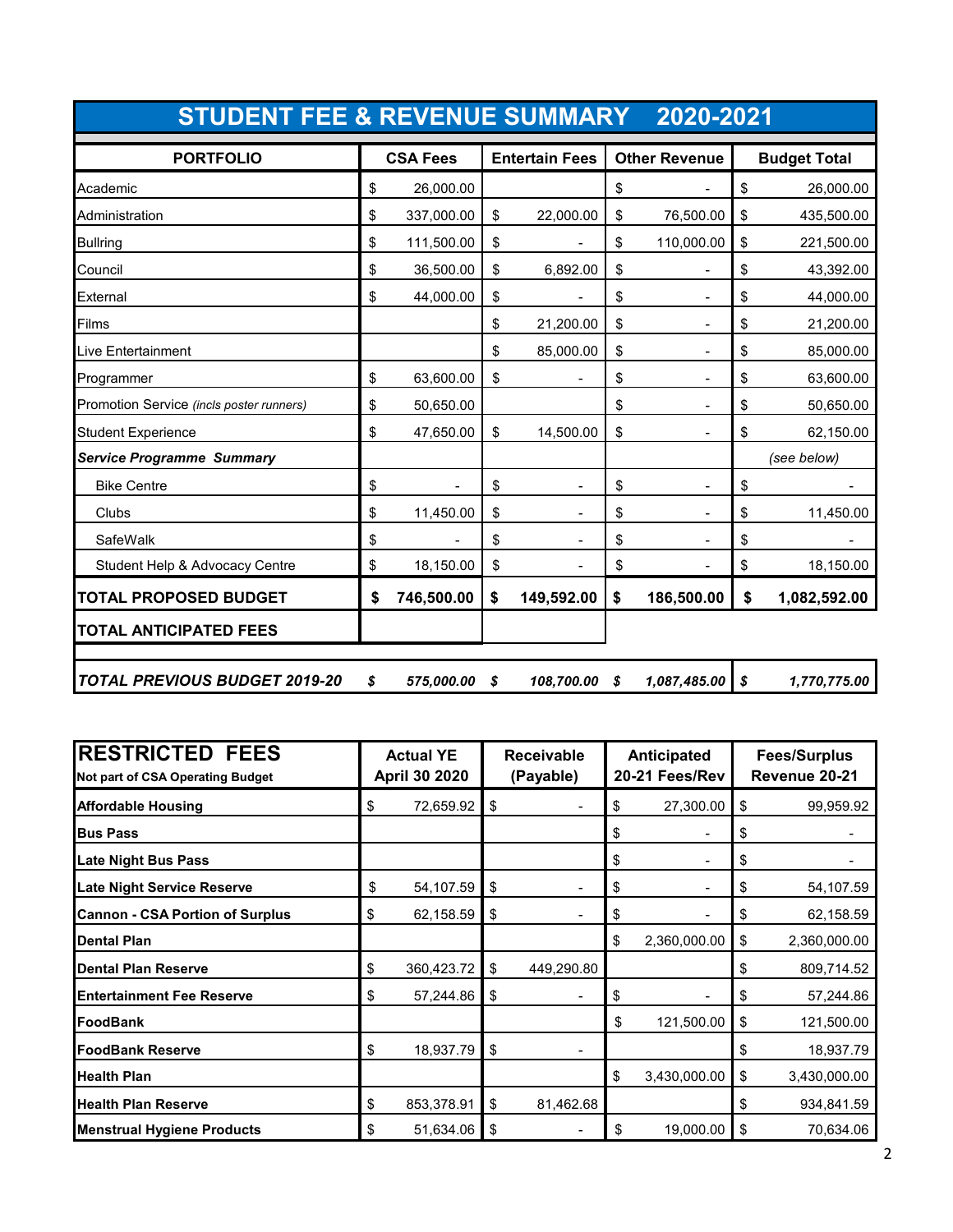| STUDENT FEE & REVENUE SUMMARY 2020-2021  |                  |                       |                                |                     |
|------------------------------------------|------------------|-----------------------|--------------------------------|---------------------|
| <b>PORTFOLIO</b>                         | <b>CSA Fees</b>  | <b>Entertain Fees</b> | <b>Other Revenue</b>           | <b>Budget Total</b> |
| Academic                                 | \$<br>26,000.00  |                       | \$                             | \$<br>26,000.00     |
| Administration                           | \$<br>337,000.00 | \$<br>22,000.00       | \$<br>76,500.00                | \$<br>435,500.00    |
| <b>Bullring</b>                          | \$<br>111,500.00 | \$                    | \$<br>110,000.00               | \$<br>221,500.00    |
| Council                                  | \$<br>36,500.00  | \$<br>6,892.00        | \$                             | \$<br>43,392.00     |
| External                                 | \$<br>44,000.00  | \$                    | \$                             | \$<br>44,000.00     |
| Films                                    |                  | \$<br>21,200.00       | \$                             | \$<br>21,200.00     |
| <b>Live Entertainment</b>                |                  | \$<br>85,000.00       | \$                             | \$<br>85,000.00     |
| Programmer                               | \$<br>63,600.00  | \$                    | \$<br>$\overline{a}$           | \$<br>63,600.00     |
| Promotion Service (incls poster runners) | \$<br>50,650.00  |                       | \$<br>$\overline{\phantom{0}}$ | \$<br>50,650.00     |
| <b>Student Experience</b>                | \$<br>47,650.00  | \$<br>14,500.00       | \$                             | \$<br>62,150.00     |
| <b>Service Programme Summary</b>         |                  |                       |                                | (see below)         |
| <b>Bike Centre</b>                       | \$               | \$                    | \$                             | \$                  |
| Clubs                                    | \$<br>11,450.00  | \$                    | \$                             | \$<br>11,450.00     |
| SafeWalk                                 | \$               | \$                    | \$                             | \$                  |
| Student Help & Advocacy Centre           | \$<br>18,150.00  | \$                    | \$<br>$\blacksquare$           | \$<br>18,150.00     |
| <b>TOTAL PROPOSED BUDGET</b>             | \$<br>746,500.00 | \$<br>149,592.00      | \$<br>186,500.00               | \$<br>1,082,592.00  |
| <b>TOTAL ANTICIPATED FEES</b>            |                  |                       |                                |                     |
| <b>TOTAL PREVIOUS BUDGET 2019-20</b>     | \$<br>575,000.00 | \$<br>108,700.00      | \$<br>1,087,485.00             | \$<br>1,770,775.00  |

| <b>RESTRICTED FEES</b><br>Not part of CSA Operating Budget | <b>Actual YE</b><br>April 30 2020 |     | <b>Receivable</b><br>(Payable) | Anticipated<br>20-21 Fees/Rev |    | <b>Fees/Surplus</b><br>Revenue 20-21 |  |
|------------------------------------------------------------|-----------------------------------|-----|--------------------------------|-------------------------------|----|--------------------------------------|--|
| <b>Affordable Housing</b>                                  | \$<br>72,659.92                   | \$  |                                | \$<br>27,300.00               | \$ | 99,959.92                            |  |
| <b>Bus Pass</b>                                            |                                   |     |                                | \$                            | \$ |                                      |  |
| <b>Late Night Bus Pass</b>                                 |                                   |     |                                | \$                            | \$ |                                      |  |
| <b>Late Night Service Reserve</b>                          | \$<br>54,107.59                   | \$  |                                | \$                            | \$ | 54,107.59                            |  |
| <b>Cannon - CSA Portion of Surplus</b>                     | \$<br>62,158.59                   | \$  |                                | \$                            | \$ | 62,158.59                            |  |
| <b>Dental Plan</b>                                         |                                   |     |                                | \$<br>2,360,000.00            | \$ | 2,360,000.00                         |  |
| Dental Plan Reserve                                        | \$<br>360,423.72                  | \$  | 449,290.80                     |                               | \$ | 809,714.52                           |  |
| <b>Entertainment Fee Reserve</b>                           | \$<br>57,244.86                   | \$  |                                | \$                            | \$ | 57,244.86                            |  |
| FoodBank                                                   |                                   |     |                                | \$<br>121,500.00              | \$ | 121,500.00                           |  |
| <b>FoodBank Reserve</b>                                    | \$<br>18,937.79                   | \$  |                                |                               | \$ | 18,937.79                            |  |
| <b>Health Plan</b>                                         |                                   |     |                                | \$<br>3,430,000.00            | \$ | 3,430,000.00                         |  |
| <b>Health Plan Reserve</b>                                 | \$<br>853,378.91                  | \$  | 81,462.68                      |                               | \$ | 934,841.59                           |  |
| <b>Menstrual Hygiene Products</b>                          | \$<br>51,634.06                   | -\$ |                                | \$<br>19,000.00               | \$ | 70,634.06                            |  |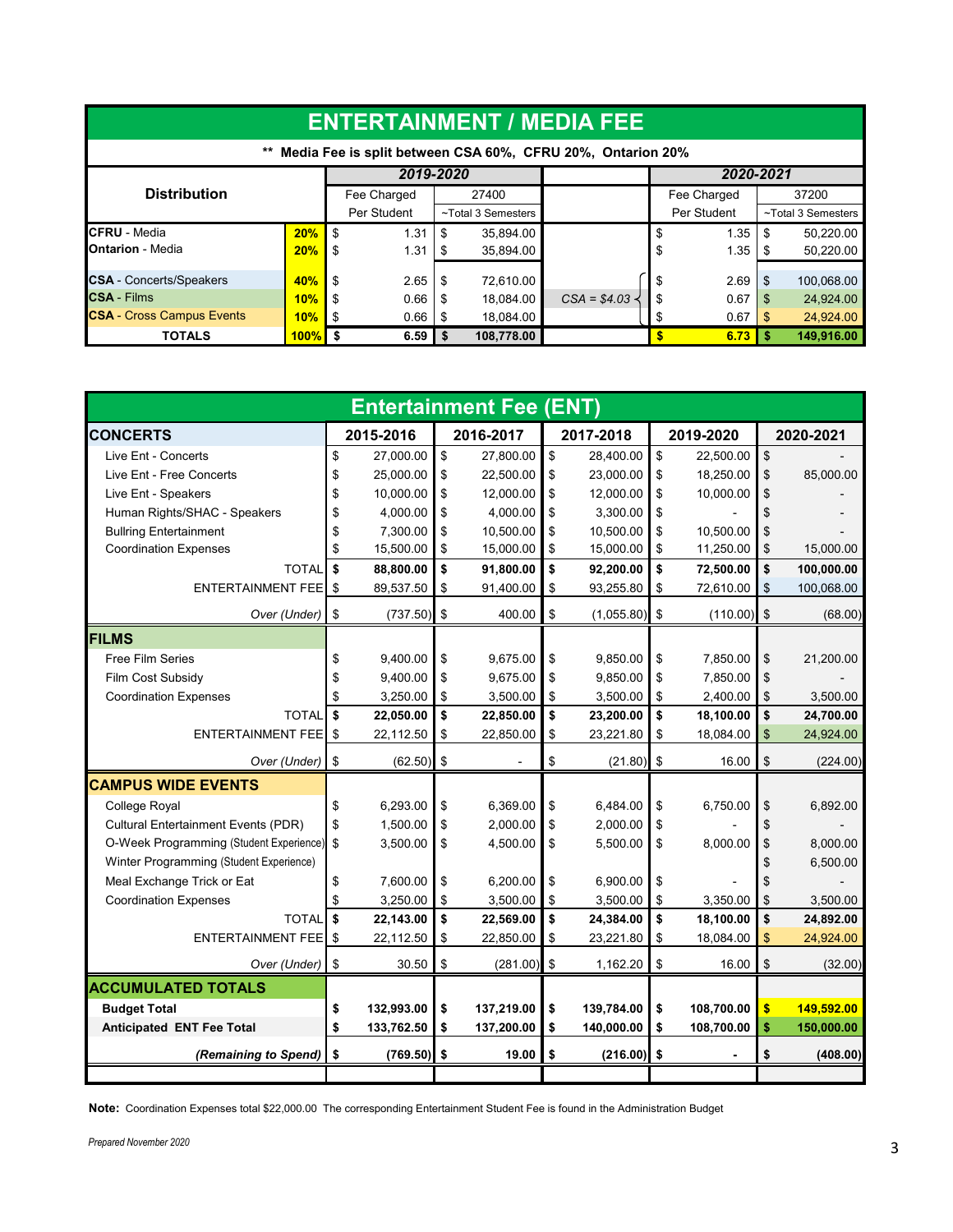| <b>ENTERTAINMENT / MEDIA FEE</b>        |      |                                                            |      |                    |               |    |             |     |                    |
|-----------------------------------------|------|------------------------------------------------------------|------|--------------------|---------------|----|-------------|-----|--------------------|
| $***$                                   |      | Media Fee is split between CSA 60%, CFRU 20%, Ontarion 20% |      |                    |               |    |             |     |                    |
|                                         |      | 2019-2020                                                  |      |                    |               |    | 2020-2021   |     |                    |
| <b>Distribution</b>                     |      | Fee Charged                                                |      | 27400              |               |    | Fee Charged |     | 37200              |
|                                         |      | Per Student                                                |      | ~Total 3 Semesters |               |    | Per Student |     | ~Total 3 Semesters |
| <b>CFRU</b> - Media                     | 20%  | \$<br>1.31                                                 | -S   | 35.894.00          |               | \$ | 1.35        | \$  | 50,220.00          |
| <b>IOntarion - Media</b>                | 20%  | 1.31<br>\$                                                 | S    | 35,894.00          |               | \$ | 1.35        | - 5 | 50,220.00          |
| <b>CSA</b> - Concerts/Speakers          | 40%  | 2.65<br>\$                                                 | -S   | 72,610.00          |               | \$ | 2.69        | \$  | 100,068.00         |
| <b>CSA - Films</b>                      | 10%  | 0.66<br>\$                                                 | \$.  | 18,084.00          | $CSA = $4.03$ |    | 0.67        | \$  | 24,924.00          |
| <b>CSA - Cross Campus Events</b><br>10% |      | 0.66<br>- 35                                               | - 36 | 18.084.00          |               | S  | 0.67        | -\$ | 24,924.00          |
| <b>TOTALS</b>                           | 100% | $6.59$ \$                                                  |      | 108,778.00         |               |    | 6.73        | -\$ | 149,916.00         |

|                                            |                  | <b>Entertainment Fee (ENT)</b> |                  |                         |            |               |            |
|--------------------------------------------|------------------|--------------------------------|------------------|-------------------------|------------|---------------|------------|
| <b>CONCERTS</b>                            | 2015-2016        | 2016-2017                      | 2017-2018        |                         | 2019-2020  |               | 2020-2021  |
| Live Ent - Concerts                        | \$<br>27,000.00  | \$<br>27,800.00                | \$<br>28,400.00  | $\sqrt{2}$              | 22,500.00  | \$            |            |
| Live Ent - Free Concerts                   | \$<br>25,000.00  | \$<br>22,500.00                | \$<br>23,000.00  | \$                      | 18,250.00  | \$            | 85,000.00  |
| Live Ent - Speakers                        | \$<br>10,000.00  | \$<br>12,000.00                | \$<br>12,000.00  | \$                      | 10,000.00  | \$            |            |
| Human Rights/SHAC - Speakers               | \$<br>4,000.00   | \$<br>4,000.00                 | \$<br>3,300.00   | \$                      |            | \$            |            |
| <b>Bullring Entertainment</b>              | \$<br>7,300.00   | \$<br>10,500.00                | \$<br>10,500.00  | \$                      | 10,500.00  | \$            |            |
| <b>Coordination Expenses</b>               | \$<br>15,500.00  | \$<br>15,000.00                | \$<br>15,000.00  | \$                      | 11,250.00  | \$            | 15,000.00  |
| <b>TOTAL</b>                               | \$<br>88,800.00  | \$<br>91,800.00                | \$<br>92,200.00  | \$                      | 72,500.00  | \$            | 100,000.00 |
| <b>ENTERTAINMENT FEE</b>                   | \$<br>89,537.50  | \$<br>91,400.00                | \$<br>93,255.80  | \$                      | 72,610.00  | \$            | 100,068.00 |
| Over (Under)                               | \$<br>(737.50)   | \$<br>400.00                   | \$<br>(1,055.80) | \$                      | (110.00)   | \$            | (68.00)    |
| <b>FILMS</b>                               |                  |                                |                  |                         |            |               |            |
| <b>Free Film Series</b>                    | \$<br>9,400.00   | \$<br>9,675.00                 | \$<br>9,850.00   | $\sqrt[6]{\frac{1}{2}}$ | 7,850.00   | \$            | 21,200.00  |
| Film Cost Subsidy                          | \$<br>9,400.00   | \$<br>9,675.00                 | \$<br>9,850.00   | \$                      | 7,850.00   | \$            |            |
| <b>Coordination Expenses</b>               | \$<br>3,250.00   | \$<br>3,500.00                 | \$<br>3,500.00   | \$                      | 2,400.00   | \$            | 3,500.00   |
| TOTAL                                      | \$<br>22,050.00  | \$<br>22,850.00                | \$<br>23,200.00  | $\sqrt{2}$              | 18,100.00  | \$            | 24,700.00  |
| <b>ENTERTAINMENT FEE</b>                   | \$<br>22,112.50  | \$<br>22,850.00                | \$<br>23,221.80  | \$                      | 18,084.00  | \$            | 24,924.00  |
| Over (Under)                               | \$<br>(62.50)    | \$                             | \$<br>(21.80)    | $\mathfrak{s}$          | 16.00      | \$            | (224.00)   |
| <b>CAMPUS WIDE EVENTS</b>                  |                  |                                |                  |                         |            |               |            |
| <b>College Royal</b>                       | \$<br>6.293.00   | \$<br>6.369.00                 | \$<br>6,484.00   | \$                      | 6,750.00   | \$            | 6,892.00   |
| <b>Cultural Entertainment Events (PDR)</b> | \$<br>1,500.00   | \$<br>2,000.00                 | \$<br>2,000.00   | \$                      |            | \$            |            |
| O-Week Programming (Student Experience)    | \$<br>3,500.00   | \$<br>4,500.00                 | \$<br>5,500.00   | \$                      | 8,000.00   | \$            | 8,000.00   |
| Winter Programming (Student Experience)    |                  |                                |                  |                         |            | \$            | 6,500.00   |
| Meal Exchange Trick or Eat                 | \$<br>7,600.00   | \$<br>6,200.00                 | \$<br>6,900.00   | \$                      |            | \$            |            |
| <b>Coordination Expenses</b>               | \$<br>3,250.00   | \$<br>3,500.00                 | \$<br>3,500.00   | \$                      | 3,350.00   | \$            | 3,500.00   |
| <b>TOTAL</b>                               | \$<br>22,143.00  | \$<br>22,569.00                | \$<br>24,384.00  | $\sqrt{2}$              | 18,100.00  | \$            | 24,892.00  |
| <b>ENTERTAINMENT FEE</b>                   | \$<br>22,112.50  | \$<br>22,850.00                | \$<br>23,221.80  | \$                      | 18,084.00  | \$            | 24,924.00  |
| Over (Under)                               | \$<br>30.50      | \$<br>(281.00)                 | \$<br>1,162.20   | \$                      | 16.00      | \$            | (32.00)    |
| <b>ACCUMULATED TOTALS</b>                  |                  |                                |                  |                         |            |               |            |
| <b>Budget Total</b>                        | \$<br>132,993.00 | \$<br>137,219.00               | \$<br>139,784.00 | \$                      | 108,700.00 | $\frac{1}{2}$ | 149,592.00 |
| Anticipated ENT Fee Total                  | \$<br>133,762.50 | \$<br>137,200.00               | \$<br>140,000.00 | \$                      | 108,700.00 | \$            | 150,000.00 |
| (Remaining to Spend)                       | \$<br>(769.50)   | \$<br>19.00                    | \$<br>(216.00)   | \$                      |            | \$            | (408.00)   |
|                                            |                  |                                |                  |                         |            |               |            |

**Note:** Coordination Expenses total \$22,000.00 The corresponding Entertainment Student Fee is found in the Administration Budget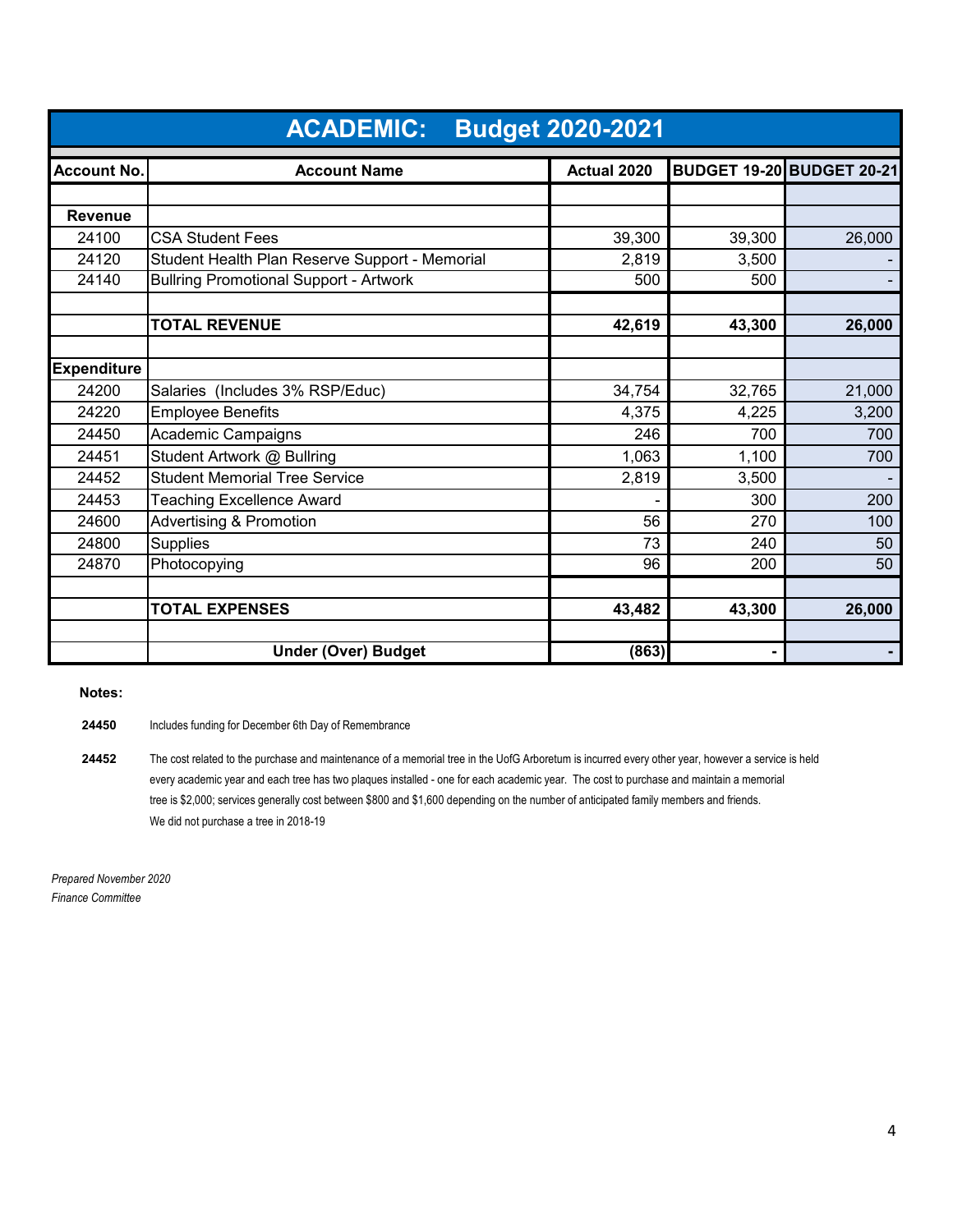|                    | <b>ACADEMIC:</b>                               | <b>Budget 2020-2021</b> |        |                                  |
|--------------------|------------------------------------------------|-------------------------|--------|----------------------------------|
| <b>Account No.</b> | <b>Account Name</b>                            | Actual 2020             |        | <b>BUDGET 19-20 BUDGET 20-21</b> |
|                    |                                                |                         |        |                                  |
| <b>Revenue</b>     |                                                |                         |        |                                  |
| 24100              | <b>CSA Student Fees</b>                        | 39,300                  | 39,300 | 26,000                           |
| 24120              | Student Health Plan Reserve Support - Memorial | 2,819                   | 3,500  |                                  |
| 24140              | <b>Bullring Promotional Support - Artwork</b>  | 500                     | 500    |                                  |
|                    |                                                |                         |        |                                  |
|                    | <b>TOTAL REVENUE</b>                           | 42,619                  | 43,300 | 26,000                           |
|                    |                                                |                         |        |                                  |
| <b>Expenditure</b> |                                                |                         |        |                                  |
| 24200              | Salaries (Includes 3% RSP/Educ)                | 34,754                  | 32,765 | 21,000                           |
| 24220              | <b>Employee Benefits</b>                       | 4,375                   | 4,225  | 3,200                            |
| 24450              | Academic Campaigns                             | 246                     | 700    | 700                              |
| 24451              | Student Artwork @ Bullring                     | 1,063                   | 1,100  | 700                              |
| 24452              | <b>Student Memorial Tree Service</b>           | 2,819                   | 3,500  |                                  |
| 24453              | <b>Teaching Excellence Award</b>               |                         | 300    | 200                              |
| 24600              | <b>Advertising &amp; Promotion</b>             | 56                      | 270    | 100                              |
| 24800              | Supplies                                       | 73                      | 240    | 50                               |
| 24870              | Photocopying                                   | 96                      | 200    | 50                               |
|                    |                                                |                         |        |                                  |
|                    | <b>TOTAL EXPENSES</b>                          | 43,482                  | 43,300 | 26,000                           |
|                    |                                                |                         |        |                                  |
|                    | <b>Under (Over) Budget</b>                     | (863)                   |        |                                  |

 **Notes:**

**24450** Includes funding for December 6th Day of Remembrance

**24452** The cost related to the purchase and maintenance of a memorial tree in the UofG Arboretum is incurred every other year, however a service is held every academic year and each tree has two plaques installed - one for each academic year. The cost to purchase and maintain a memorial tree is \$2,000; services generally cost between \$800 and \$1,600 depending on the number of anticipated family members and friends. We did not purchase a tree in 2018-19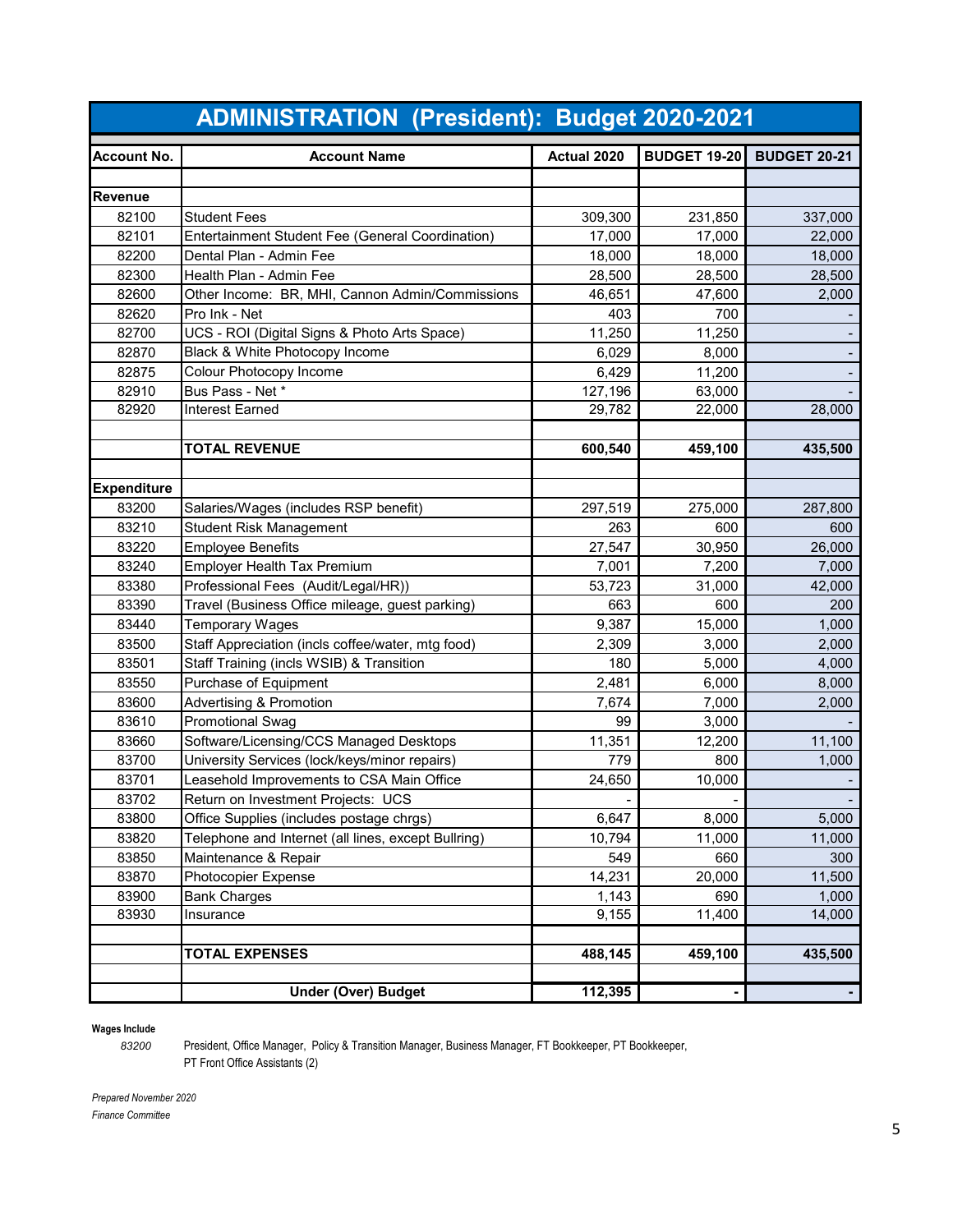|                    | <b>ADMINISTRATION (President): Budget 2020-2021</b> |             |                     |                     |
|--------------------|-----------------------------------------------------|-------------|---------------------|---------------------|
| <b>Account No.</b> | <b>Account Name</b>                                 | Actual 2020 | <b>BUDGET 19-20</b> | <b>BUDGET 20-21</b> |
|                    |                                                     |             |                     |                     |
| <b>Revenue</b>     |                                                     |             |                     |                     |
| 82100              | <b>Student Fees</b>                                 | 309,300     | 231,850             | 337,000             |
| 82101              | Entertainment Student Fee (General Coordination)    | 17,000      | 17,000              | 22,000              |
| 82200              | Dental Plan - Admin Fee                             | 18,000      | 18,000              | 18,000              |
| 82300              | Health Plan - Admin Fee                             | 28,500      | 28,500              | 28,500              |
| 82600              | Other Income: BR, MHI, Cannon Admin/Commissions     | 46,651      | 47,600              | 2,000               |
| 82620              | Pro Ink - Net                                       | 403         | 700                 |                     |
| 82700              | UCS - ROI (Digital Signs & Photo Arts Space)        | 11,250      | 11,250              |                     |
| 82870              | Black & White Photocopy Income                      | 6,029       | 8,000               |                     |
| 82875              | Colour Photocopy Income                             | 6,429       | 11,200              |                     |
| 82910              | Bus Pass - Net *                                    | 127,196     | 63,000              |                     |
| 82920              | <b>Interest Earned</b>                              | 29,782      | 22,000              | 28,000              |
|                    | <b>TOTAL REVENUE</b>                                | 600,540     | 459,100             | 435,500             |
|                    |                                                     |             |                     |                     |
| <b>Expenditure</b> |                                                     |             |                     |                     |
| 83200              | Salaries/Wages (includes RSP benefit)               | 297,519     | 275,000             | 287,800             |
| 83210              | <b>Student Risk Management</b>                      | 263         | 600                 | 600                 |
| 83220              | <b>Employee Benefits</b>                            | 27,547      | 30,950              | 26,000              |
| 83240              | <b>Employer Health Tax Premium</b>                  | 7,001       | 7,200               | 7,000               |
| 83380              | Professional Fees (Audit/Legal/HR))                 | 53,723      | 31,000              | 42,000              |
| 83390              | Travel (Business Office mileage, guest parking)     | 663         | 600                 | 200                 |
| 83440              | <b>Temporary Wages</b>                              | 9,387       | 15,000              | 1,000               |
| 83500              | Staff Appreciation (incls coffee/water, mtg food)   | 2,309       | 3,000               | 2,000               |
| 83501              | Staff Training (incls WSIB) & Transition            | 180         | 5,000               | 4,000               |
| 83550              | Purchase of Equipment                               | 2,481       | 6,000               | 8,000               |
| 83600              | <b>Advertising &amp; Promotion</b>                  | 7,674       | 7,000               | 2,000               |
| 83610              | <b>Promotional Swag</b>                             | 99          | 3,000               |                     |
| 83660              | Software/Licensing/CCS Managed Desktops             | 11,351      | 12,200              | 11,100              |
| 83700              | University Services (lock/keys/minor repairs)       | 779         | 800                 | 1,000               |
| 83701              | Leasehold Improvements to CSA Main Office           | 24,650      | 10,000              |                     |
| 83702              | Return on Investment Projects: UCS                  |             |                     |                     |
| 83800              | Office Supplies (includes postage chrgs)            | 6,647       | 8,000               | 5,000               |
| 83820              | Telephone and Internet (all lines, except Bullring) | 10,794      | 11,000              | 11,000              |
| 83850              | Maintenance & Repair                                | 549         | 660                 | 300                 |
| 83870              | Photocopier Expense                                 | 14,231      | 20,000              | 11,500              |
| 83900              | <b>Bank Charges</b>                                 | 1,143       | 690                 | 1,000               |
| 83930              | Insurance                                           | 9,155       | 11,400              | 14,000              |
|                    | <b>TOTAL EXPENSES</b>                               | 488,145     | 459,100             | 435,500             |
|                    |                                                     |             |                     |                     |
|                    | <b>Under (Over) Budget</b>                          | 112,395     |                     |                     |

## **Wages Include**

 President, Office Manager, Policy & Transition Manager, Business Manager, FT Bookkeeper, PT Bookkeeper, PT Front Office Assistants (2)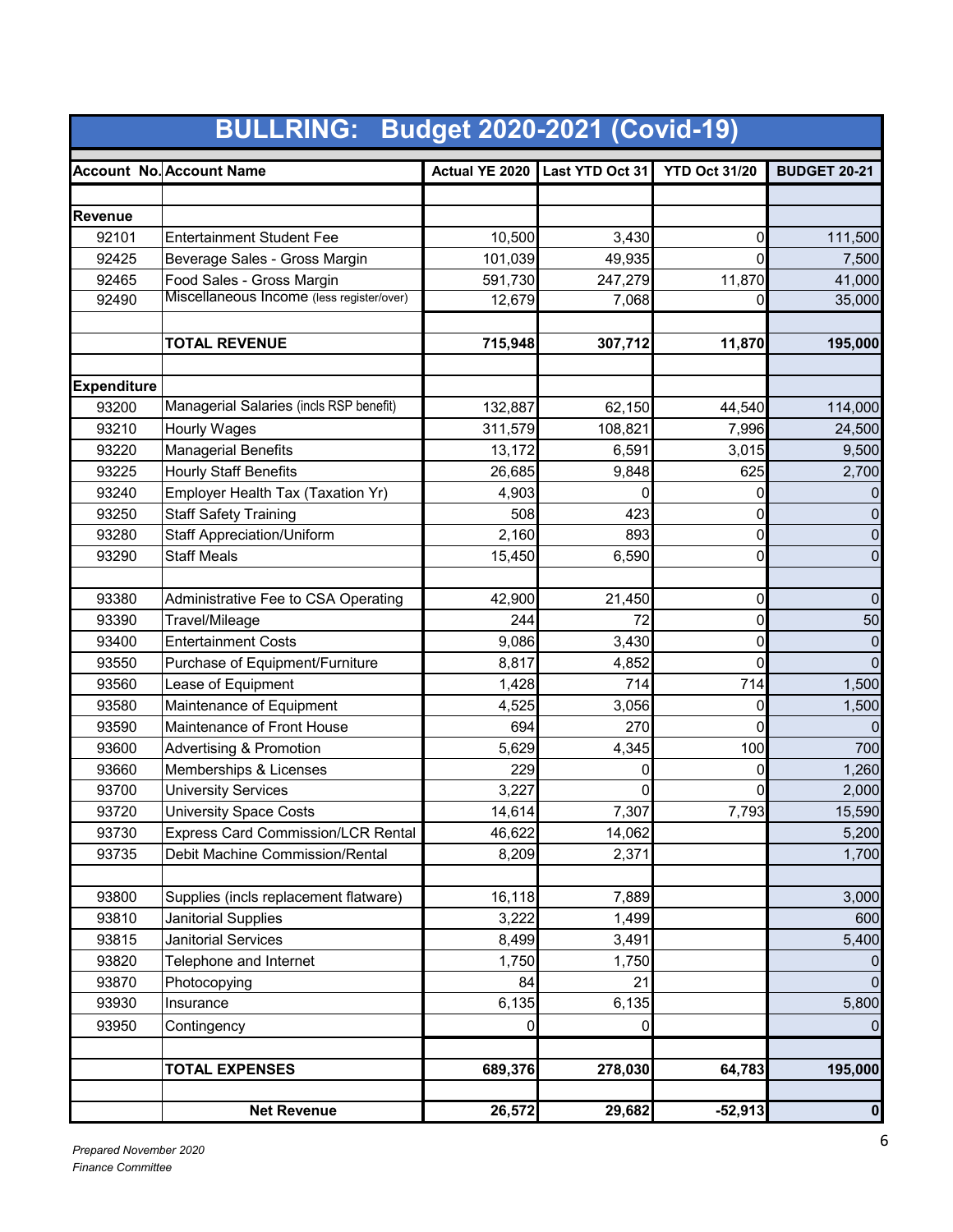|                    | <b>BULLRING: Budget 2020-2021 (Covid-19)</b> |                |                 |                      |                     |
|--------------------|----------------------------------------------|----------------|-----------------|----------------------|---------------------|
|                    | <b>Account No. Account Name</b>              | Actual YE 2020 | Last YTD Oct 31 | <b>YTD Oct 31/20</b> | <b>BUDGET 20-21</b> |
|                    |                                              |                |                 |                      |                     |
| <b>Revenue</b>     |                                              |                |                 |                      |                     |
| 92101              | <b>Entertainment Student Fee</b>             | 10,500         | 3,430           | 0                    | 111,500             |
| 92425              | Beverage Sales - Gross Margin                | 101,039        | 49,935          | $\Omega$             | 7,500               |
| 92465              | Food Sales - Gross Margin                    | 591,730        | 247,279         | 11,870               | 41,000              |
| 92490              | Miscellaneous Income (less register/over)    | 12,679         | 7,068           | 0                    | 35,000              |
|                    | <b>TOTAL REVENUE</b>                         | 715,948        | 307,712         | 11,870               | 195,000             |
|                    |                                              |                |                 |                      |                     |
| <b>Expenditure</b> |                                              |                |                 |                      |                     |
| 93200              | Managerial Salaries (incls RSP benefit)      | 132,887        | 62,150          | 44,540               | 114,000             |
| 93210              | <b>Hourly Wages</b>                          | 311,579        | 108,821         | 7,996                | 24,500              |
| 93220              | <b>Managerial Benefits</b>                   | 13,172         | 6,591           | 3,015                | 9,500               |
| 93225              | <b>Hourly Staff Benefits</b>                 | 26,685         | 9,848           | 625                  | 2,700               |
| 93240              | Employer Health Tax (Taxation Yr)            | 4,903          |                 | 0                    |                     |
| 93250              | <b>Staff Safety Training</b>                 | 508            | 423             | 0                    | 0                   |
| 93280              | <b>Staff Appreciation/Uniform</b>            | 2,160          | 893             | 0                    | 0                   |
| 93290              | <b>Staff Meals</b>                           | 15,450         | 6,590           | 0                    | 0                   |
|                    |                                              |                |                 |                      |                     |
| 93380              | Administrative Fee to CSA Operating          | 42,900         | 21,450          | 0                    | 0                   |
| 93390              | Travel/Mileage                               | 244            | 72              | 0                    | 50                  |
| 93400              | <b>Entertainment Costs</b>                   | 9,086          | 3,430           | 0                    | 0                   |
| 93550              | Purchase of Equipment/Furniture              | 8,817          | 4,852           | 0                    | $\mathbf{0}$        |
| 93560              | Lease of Equipment                           | 1,428          | 714             | 714                  | 1,500               |
| 93580              | Maintenance of Equipment                     | 4,525          | 3,056           | 0                    | 1,500               |
| 93590              | Maintenance of Front House                   | 694            | 270             | 0                    |                     |
| 93600              | <b>Advertising &amp; Promotion</b>           | 5,629          | 4,345           | 100                  | 700                 |
| 93660              | Memberships & Licenses                       | 229            | 0               | 0                    | 1,260               |
| 93700              | <b>University Services</b>                   | 3,227          | 0               | 0                    | 2,000               |
| 93720              | University Space Costs                       | 14,614         | 7,307           | 7,793                | 15,590              |
| 93730              | <b>Express Card Commission/LCR Rental</b>    | 46,622         | 14,062          |                      | 5,200               |
| 93735              | Debit Machine Commission/Rental              | 8,209          | 2,371           |                      | 1,700               |
|                    |                                              |                |                 |                      |                     |
| 93800              | Supplies (incls replacement flatware)        | 16,118         | 7,889           |                      | 3,000               |
| 93810              | Janitorial Supplies                          | 3,222          | 1,499           |                      | 600                 |
| 93815              | <b>Janitorial Services</b>                   | 8,499          | 3,491           |                      | 5,400               |
| 93820              | Telephone and Internet                       | 1,750          | 1,750           |                      |                     |
| 93870              | Photocopying                                 | 84             | 21              |                      |                     |
| 93930              | Insurance                                    | 6,135          | 6,135           |                      | 5,800               |
| 93950              | Contingency                                  | 0              | 0               |                      |                     |
|                    |                                              |                |                 |                      |                     |
|                    | <b>TOTAL EXPENSES</b>                        | 689,376        | 278,030         | 64,783               | 195,000             |
|                    | <b>Net Revenue</b>                           | 26,572         | 29,682          | $-52,913$            | $\boldsymbol{0}$    |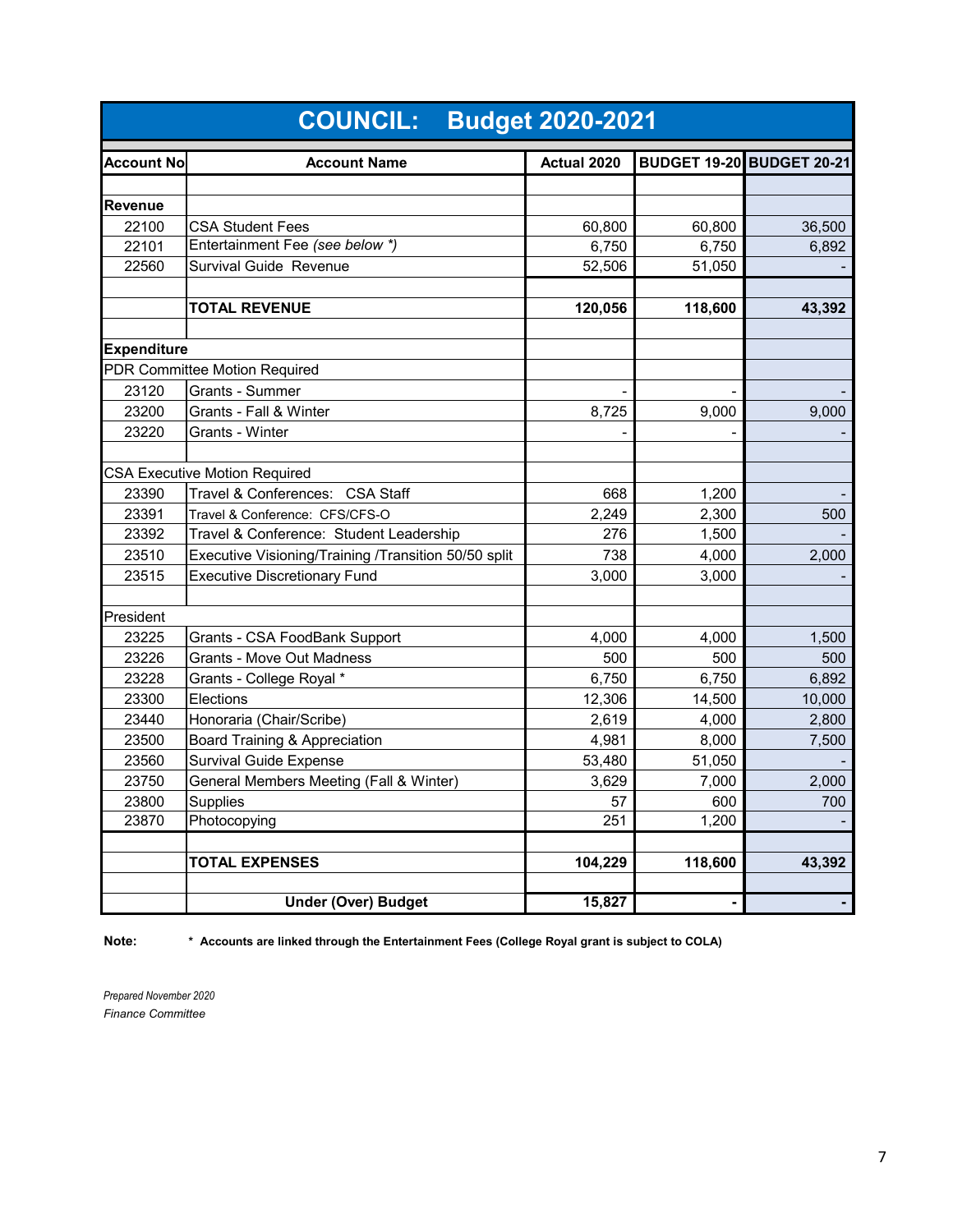|                    | <b>COUNCIL: Budget 2020-2021</b>                     |             |         |                                  |  |  |  |  |
|--------------------|------------------------------------------------------|-------------|---------|----------------------------------|--|--|--|--|
| <b>Account No</b>  | <b>Account Name</b>                                  | Actual 2020 |         | <b>BUDGET 19-20 BUDGET 20-21</b> |  |  |  |  |
|                    |                                                      |             |         |                                  |  |  |  |  |
| <b>Revenue</b>     |                                                      |             |         |                                  |  |  |  |  |
| 22100              | <b>CSA Student Fees</b>                              | 60,800      | 60,800  | 36,500                           |  |  |  |  |
| 22101              | Entertainment Fee (see below *)                      | 6,750       | 6,750   | 6,892                            |  |  |  |  |
| 22560              | <b>Survival Guide Revenue</b>                        | 52,506      | 51,050  |                                  |  |  |  |  |
|                    |                                                      |             |         |                                  |  |  |  |  |
|                    | <b>TOTAL REVENUE</b>                                 | 120,056     | 118,600 | 43,392                           |  |  |  |  |
| <b>Expenditure</b> |                                                      |             |         |                                  |  |  |  |  |
|                    | PDR Committee Motion Required                        |             |         |                                  |  |  |  |  |
| 23120              | Grants - Summer                                      |             |         |                                  |  |  |  |  |
| 23200              | Grants - Fall & Winter                               | 8,725       | 9,000   | 9,000                            |  |  |  |  |
| 23220              | Grants - Winter                                      |             |         |                                  |  |  |  |  |
|                    |                                                      |             |         |                                  |  |  |  |  |
|                    | <b>CSA Executive Motion Required</b>                 |             |         |                                  |  |  |  |  |
| 23390              | Travel & Conferences: CSA Staff                      | 668         | 1,200   |                                  |  |  |  |  |
| 23391              | Travel & Conference: CFS/CFS-O                       | 2,249       | 2,300   | 500                              |  |  |  |  |
| 23392              | Travel & Conference: Student Leadership              | 276         | 1,500   |                                  |  |  |  |  |
| 23510              | Executive Visioning/Training /Transition 50/50 split | 738         | 4,000   | 2,000                            |  |  |  |  |
| 23515              | <b>Executive Discretionary Fund</b>                  | 3,000       | 3,000   |                                  |  |  |  |  |
|                    |                                                      |             |         |                                  |  |  |  |  |
| President          |                                                      |             |         |                                  |  |  |  |  |
| 23225              | Grants - CSA FoodBank Support                        | 4,000       | 4,000   | 1,500                            |  |  |  |  |
| 23226              | <b>Grants - Move Out Madness</b>                     | 500         | 500     | 500                              |  |  |  |  |
| 23228              | Grants - College Royal *                             | 6,750       | 6,750   | 6,892                            |  |  |  |  |
| 23300              | Elections                                            | 12,306      | 14,500  | 10,000                           |  |  |  |  |
| 23440              | Honoraria (Chair/Scribe)                             | 2,619       | 4,000   | 2,800                            |  |  |  |  |
| 23500              | Board Training & Appreciation                        | 4,981       | 8,000   | 7,500                            |  |  |  |  |
| 23560              | <b>Survival Guide Expense</b>                        | 53,480      | 51,050  |                                  |  |  |  |  |
| 23750              | General Members Meeting (Fall & Winter)              | 3,629       | 7,000   | 2,000                            |  |  |  |  |
| 23800              | <b>Supplies</b>                                      | 57          | 600     | 700                              |  |  |  |  |
| 23870              | Photocopying                                         | 251         | 1,200   |                                  |  |  |  |  |
|                    | <b>TOTAL EXPENSES</b>                                |             | 118,600 |                                  |  |  |  |  |
|                    |                                                      | 104,229     |         | 43,392                           |  |  |  |  |
|                    | <b>Under (Over) Budget</b>                           | 15,827      |         |                                  |  |  |  |  |

**Note: \* Accounts are linked through the Entertainment Fees (College Royal grant is subject to COLA)**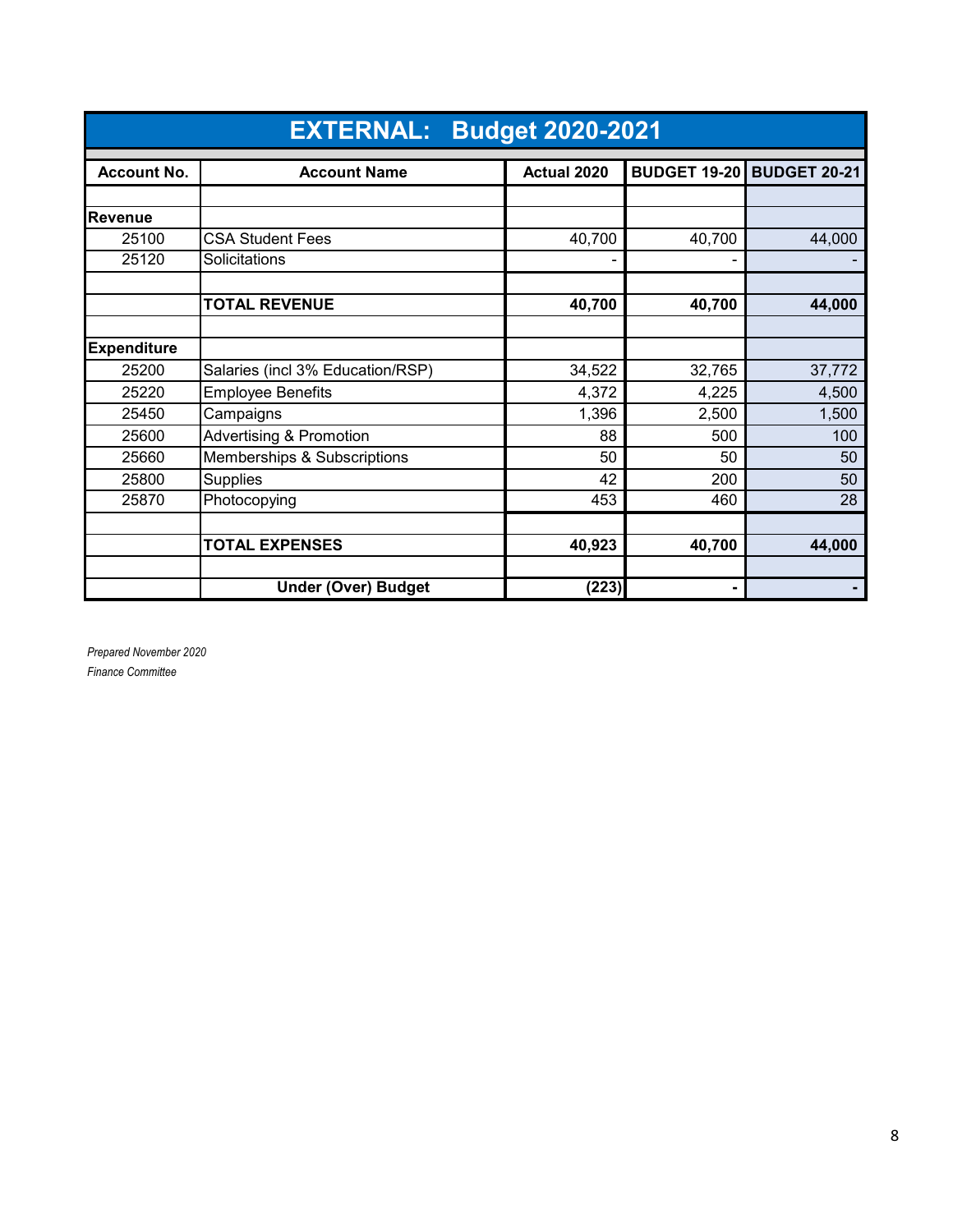|                    | <b>EXTERNAL:</b><br><b>Budget 2020-2021</b> |             |        |                                  |  |  |  |  |
|--------------------|---------------------------------------------|-------------|--------|----------------------------------|--|--|--|--|
| <b>Account No.</b> | <b>Account Name</b>                         | Actual 2020 |        | <b>BUDGET 19-20 BUDGET 20-21</b> |  |  |  |  |
|                    |                                             |             |        |                                  |  |  |  |  |
| <b>Revenue</b>     |                                             |             |        |                                  |  |  |  |  |
| 25100              | <b>CSA Student Fees</b>                     | 40,700      | 40,700 | 44,000                           |  |  |  |  |
| 25120              | Solicitations                               |             |        |                                  |  |  |  |  |
|                    |                                             |             |        |                                  |  |  |  |  |
|                    | <b>TOTAL REVENUE</b>                        | 40,700      | 40,700 | 44,000                           |  |  |  |  |
|                    |                                             |             |        |                                  |  |  |  |  |
| <b>Expenditure</b> |                                             |             |        |                                  |  |  |  |  |
| 25200              | Salaries (incl 3% Education/RSP)            | 34,522      | 32,765 | 37,772                           |  |  |  |  |
| 25220              | <b>Employee Benefits</b>                    | 4,372       | 4,225  | 4,500                            |  |  |  |  |
| 25450              | Campaigns                                   | 1,396       | 2,500  | 1,500                            |  |  |  |  |
| 25600              | <b>Advertising &amp; Promotion</b>          | 88          | 500    | 100                              |  |  |  |  |
| 25660              | Memberships & Subscriptions                 | 50          | 50     | 50                               |  |  |  |  |
| 25800              | <b>Supplies</b>                             | 42          | 200    | 50                               |  |  |  |  |
| 25870              | Photocopying                                | 453         | 460    | 28                               |  |  |  |  |
|                    |                                             |             |        |                                  |  |  |  |  |
|                    | <b>TOTAL EXPENSES</b>                       | 40,923      | 40,700 | 44,000                           |  |  |  |  |
|                    |                                             |             |        |                                  |  |  |  |  |
|                    | <b>Under (Over) Budget</b>                  | (223)       | ٠      |                                  |  |  |  |  |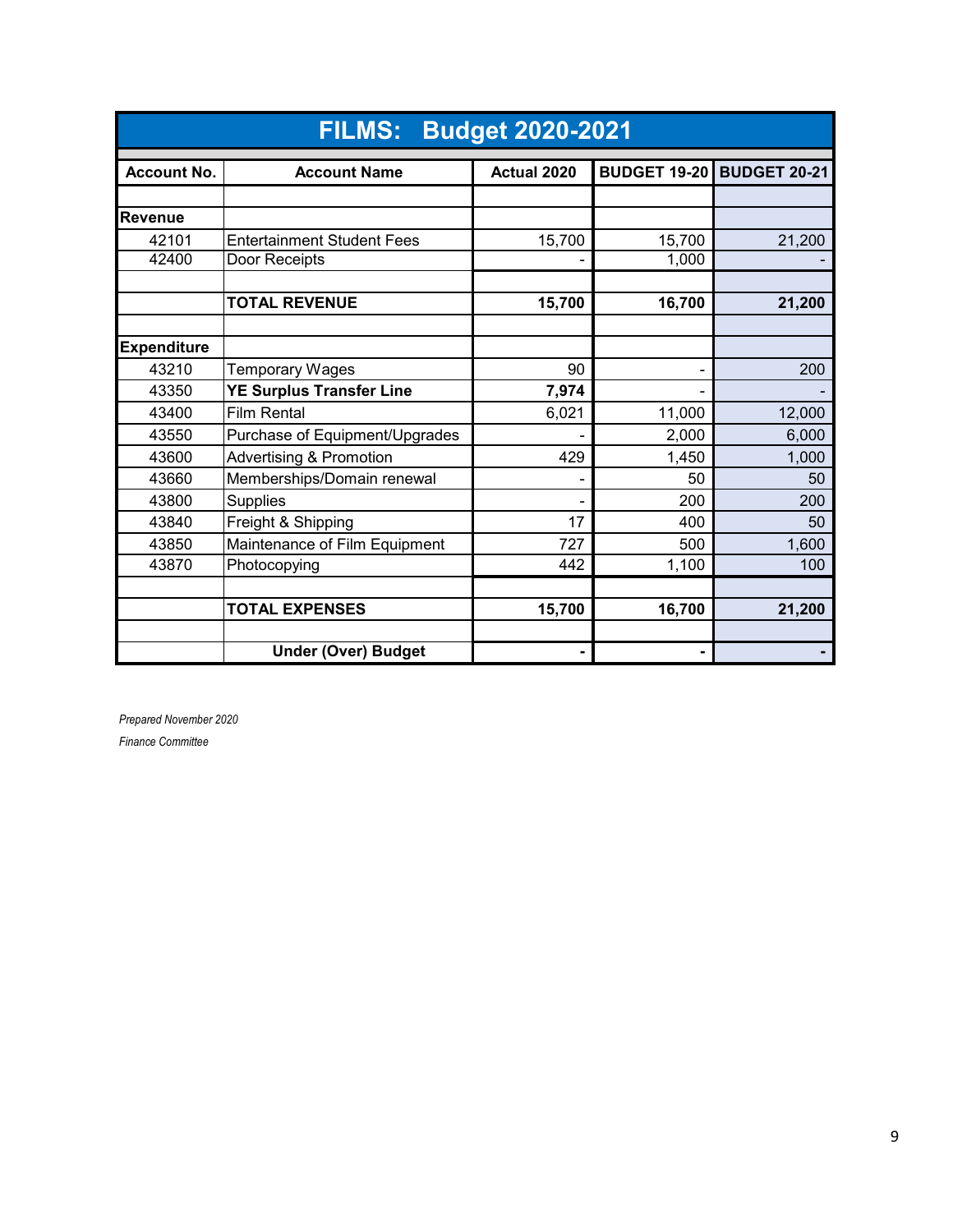|                    | <b>FILMS: Budget 2020-2021</b>     |             |                     |                     |  |  |  |  |
|--------------------|------------------------------------|-------------|---------------------|---------------------|--|--|--|--|
| <b>Account No.</b> | <b>Account Name</b>                | Actual 2020 | <b>BUDGET 19-20</b> | <b>BUDGET 20-21</b> |  |  |  |  |
|                    |                                    |             |                     |                     |  |  |  |  |
| <b>Revenue</b>     |                                    |             |                     |                     |  |  |  |  |
| 42101              | <b>Entertainment Student Fees</b>  | 15,700      | 15,700              | 21,200              |  |  |  |  |
| 42400              | Door Receipts                      |             | 1,000               |                     |  |  |  |  |
|                    |                                    |             |                     |                     |  |  |  |  |
|                    | <b>TOTAL REVENUE</b>               | 15,700      | 16,700              | 21,200              |  |  |  |  |
|                    |                                    |             |                     |                     |  |  |  |  |
| <b>Expenditure</b> |                                    |             |                     |                     |  |  |  |  |
| 43210              | Temporary Wages                    | 90          |                     | 200                 |  |  |  |  |
| 43350              | <b>YE Surplus Transfer Line</b>    | 7,974       |                     |                     |  |  |  |  |
| 43400              | <b>Film Rental</b>                 | 6,021       | 11,000              | 12,000              |  |  |  |  |
| 43550              | Purchase of Equipment/Upgrades     |             | 2,000               | 6,000               |  |  |  |  |
| 43600              | <b>Advertising &amp; Promotion</b> | 429         | 1,450               | 1,000               |  |  |  |  |
| 43660              | Memberships/Domain renewal         |             | 50                  | 50                  |  |  |  |  |
| 43800              | <b>Supplies</b>                    |             | 200                 | 200                 |  |  |  |  |
| 43840              | Freight & Shipping                 | 17          | 400                 | 50                  |  |  |  |  |
| 43850              | Maintenance of Film Equipment      | 727         | 500                 | 1,600               |  |  |  |  |
| 43870              | Photocopying                       | 442         | 1,100               | 100                 |  |  |  |  |
|                    |                                    |             |                     |                     |  |  |  |  |
|                    | <b>TOTAL EXPENSES</b>              | 15,700      | 16,700              | 21,200              |  |  |  |  |
|                    |                                    |             |                     |                     |  |  |  |  |
|                    | <b>Under (Over) Budget</b>         |             |                     |                     |  |  |  |  |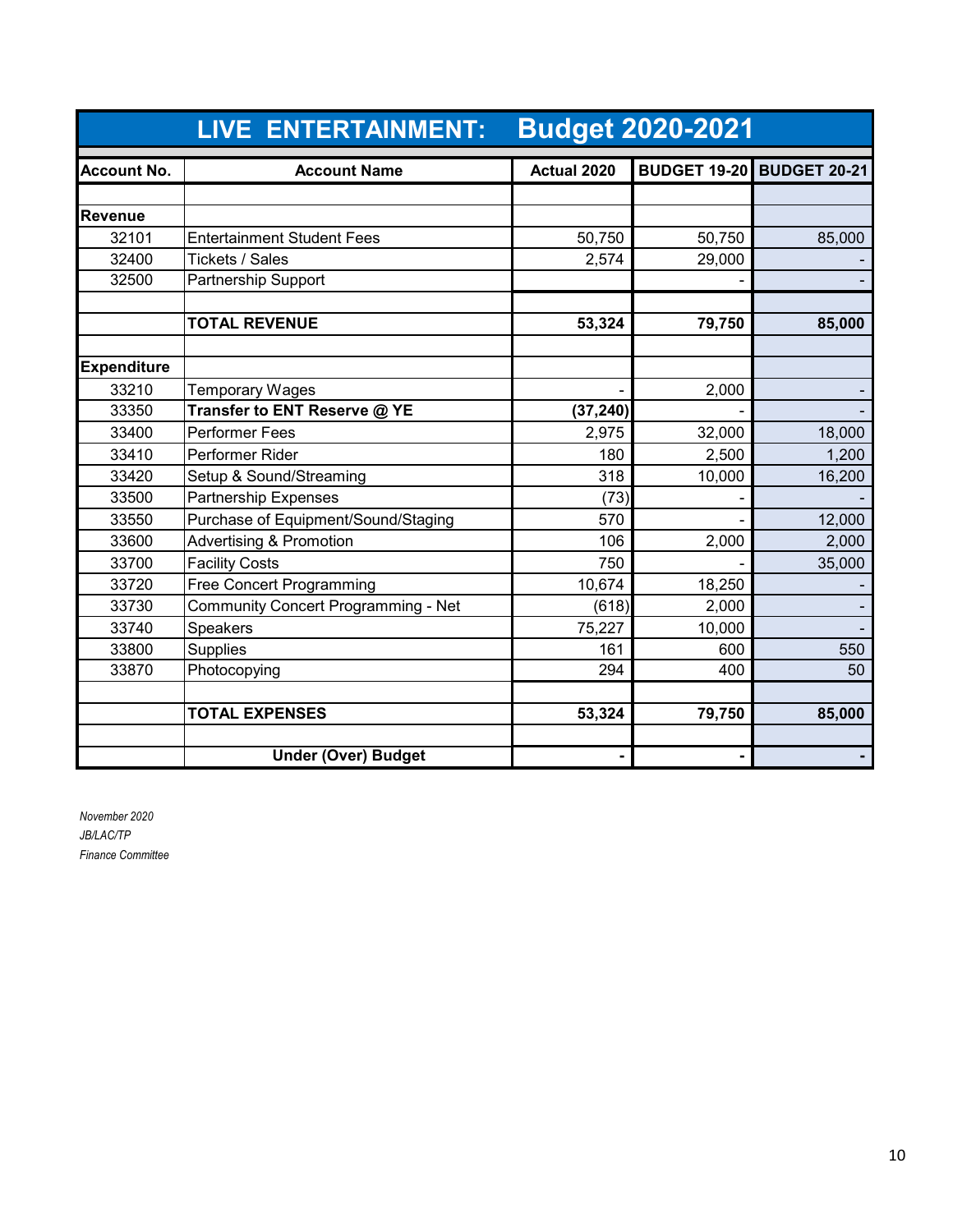|                    | <b>LIVE ENTERTAINMENT:</b>          |             | <b>Budget 2020-2021</b> |                                  |
|--------------------|-------------------------------------|-------------|-------------------------|----------------------------------|
| <b>Account No.</b> | <b>Account Name</b>                 | Actual 2020 |                         | <b>BUDGET 19-20 BUDGET 20-21</b> |
|                    |                                     |             |                         |                                  |
| Revenue            |                                     |             |                         |                                  |
| 32101              | <b>Entertainment Student Fees</b>   | 50,750      | 50,750                  | 85,000                           |
| 32400              | Tickets / Sales                     | 2,574       | 29,000                  |                                  |
| 32500              | <b>Partnership Support</b>          |             |                         |                                  |
|                    | <b>TOTAL REVENUE</b>                | 53,324      | 79,750                  | 85,000                           |
| <b>Expenditure</b> |                                     |             |                         |                                  |
| 33210              | <b>Temporary Wages</b>              |             | 2,000                   |                                  |
| 33350              | Transfer to ENT Reserve @ YE        | (37, 240)   |                         |                                  |
| 33400              | <b>Performer Fees</b>               | 2,975       | 32,000                  | 18,000                           |
| 33410              | Performer Rider                     | 180         | 2,500                   | 1,200                            |
| 33420              | Setup & Sound/Streaming             | 318         | 10,000                  | 16,200                           |
| 33500              | <b>Partnership Expenses</b>         | (73)        |                         |                                  |
| 33550              | Purchase of Equipment/Sound/Staging | 570         |                         | 12,000                           |
| 33600              | <b>Advertising &amp; Promotion</b>  | 106         | 2,000                   | 2,000                            |
| 33700              | <b>Facility Costs</b>               | 750         |                         | 35,000                           |
| 33720              | <b>Free Concert Programming</b>     | 10,674      | 18,250                  |                                  |
| 33730              | Community Concert Programming - Net | (618)       | 2,000                   |                                  |
| 33740              | Speakers                            | 75,227      | 10,000                  |                                  |
| 33800              | <b>Supplies</b>                     | 161         | 600                     | 550                              |
| 33870              | Photocopying                        | 294         | 400                     | 50                               |
|                    | <b>TOTAL EXPENSES</b>               | 53,324      | 79,750                  | 85,000                           |
|                    | <b>Under (Over) Budget</b>          |             |                         |                                  |

*November 2020 JB/LAC/TP Finance Committee*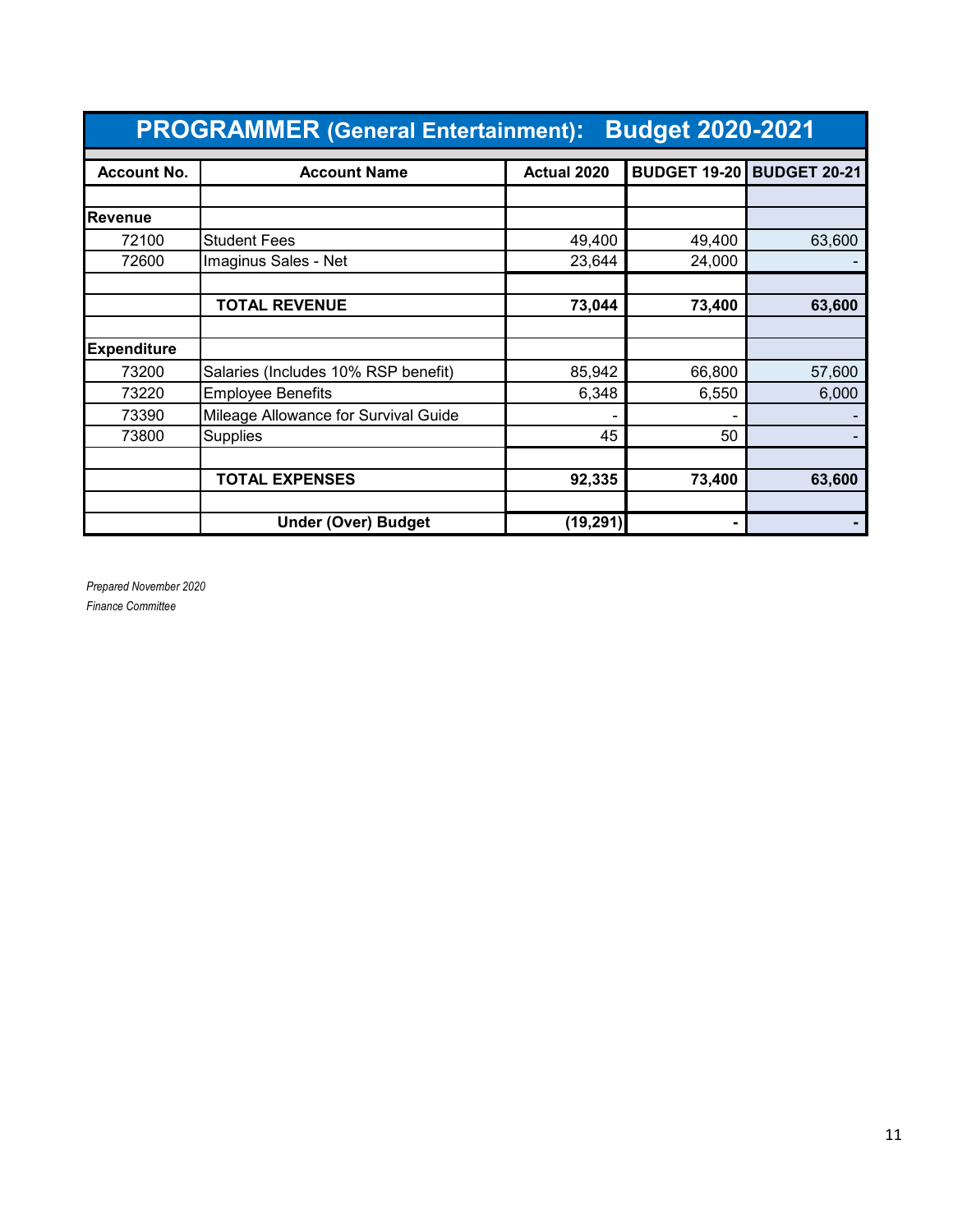| <b>Budget 2020-2021</b><br><b>PROGRAMMER (General Entertainment):</b> |                                      |             |                     |                     |
|-----------------------------------------------------------------------|--------------------------------------|-------------|---------------------|---------------------|
| <b>Account No.</b>                                                    | <b>Account Name</b>                  | Actual 2020 | <b>BUDGET 19-20</b> | <b>BUDGET 20-21</b> |
|                                                                       |                                      |             |                     |                     |
| <b>Revenue</b>                                                        |                                      |             |                     |                     |
| 72100                                                                 | <b>Student Fees</b>                  | 49,400      | 49,400              | 63,600              |
| 72600                                                                 | Imaginus Sales - Net                 | 23,644      | 24,000              |                     |
|                                                                       |                                      |             |                     |                     |
|                                                                       | <b>TOTAL REVENUE</b>                 | 73,044      | 73,400              | 63,600              |
|                                                                       |                                      |             |                     |                     |
| <b>Expenditure</b>                                                    |                                      |             |                     |                     |
| 73200                                                                 | Salaries (Includes 10% RSP benefit)  | 85,942      | 66,800              | 57,600              |
| 73220                                                                 | <b>Employee Benefits</b>             | 6,348       | 6,550               | 6,000               |
| 73390                                                                 | Mileage Allowance for Survival Guide |             |                     |                     |
| 73800                                                                 | Supplies                             | 45          | 50                  |                     |
|                                                                       |                                      |             |                     |                     |
|                                                                       | <b>TOTAL EXPENSES</b>                | 92,335      | 73,400              | 63,600              |
|                                                                       |                                      |             |                     |                     |
|                                                                       | <b>Under (Over) Budget</b>           | (19, 291)   | $\blacksquare$      |                     |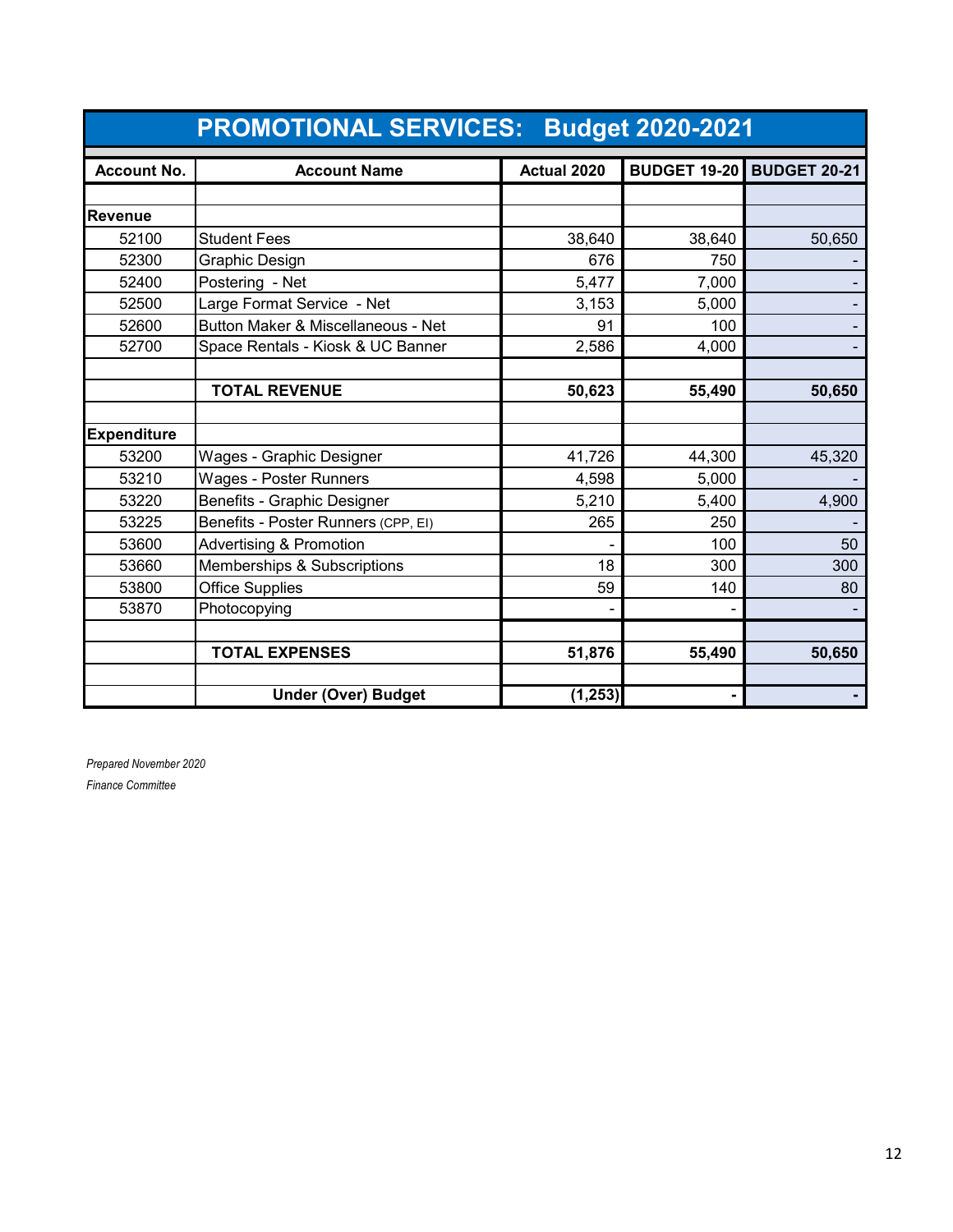|                    | <b>PROMOTIONAL SERVICES: Budget 2020-2021</b> |             |        |                                  |
|--------------------|-----------------------------------------------|-------------|--------|----------------------------------|
| <b>Account No.</b> | <b>Account Name</b>                           | Actual 2020 |        | <b>BUDGET 19-20 BUDGET 20-21</b> |
|                    |                                               |             |        |                                  |
| <b>Revenue</b>     |                                               |             |        |                                  |
| 52100              | <b>Student Fees</b>                           | 38,640      | 38,640 | 50,650                           |
| 52300              | Graphic Design                                | 676         | 750    |                                  |
| 52400              | Postering - Net                               | 5,477       | 7,000  |                                  |
| 52500              | Large Format Service - Net                    | 3,153       | 5,000  |                                  |
| 52600              | Button Maker & Miscellaneous - Net            | 91          | 100    |                                  |
| 52700              | Space Rentals - Kiosk & UC Banner             | 2,586       | 4,000  |                                  |
|                    |                                               |             |        |                                  |
|                    | <b>TOTAL REVENUE</b>                          | 50,623      | 55,490 | 50,650                           |
|                    |                                               |             |        |                                  |
| <b>Expenditure</b> |                                               |             |        |                                  |
| 53200              | Wages - Graphic Designer                      | 41,726      | 44,300 | 45,320                           |
| 53210              | Wages - Poster Runners                        | 4,598       | 5,000  |                                  |
| 53220              | Benefits - Graphic Designer                   | 5,210       | 5,400  | 4,900                            |
| 53225              | Benefits - Poster Runners (CPP, EI)           | 265         | 250    |                                  |
| 53600              | <b>Advertising &amp; Promotion</b>            |             | 100    | 50                               |
| 53660              | Memberships & Subscriptions                   | 18          | 300    | 300                              |
| 53800              | Office Supplies                               | 59          | 140    | 80                               |
| 53870              | Photocopying                                  |             |        |                                  |
|                    |                                               |             |        |                                  |
|                    | <b>TOTAL EXPENSES</b>                         | 51,876      | 55,490 | 50,650                           |
|                    |                                               |             |        |                                  |
|                    | <b>Under (Over) Budget</b>                    | (1, 253)    |        |                                  |

*Prepared November 2020*

*Finance Committee*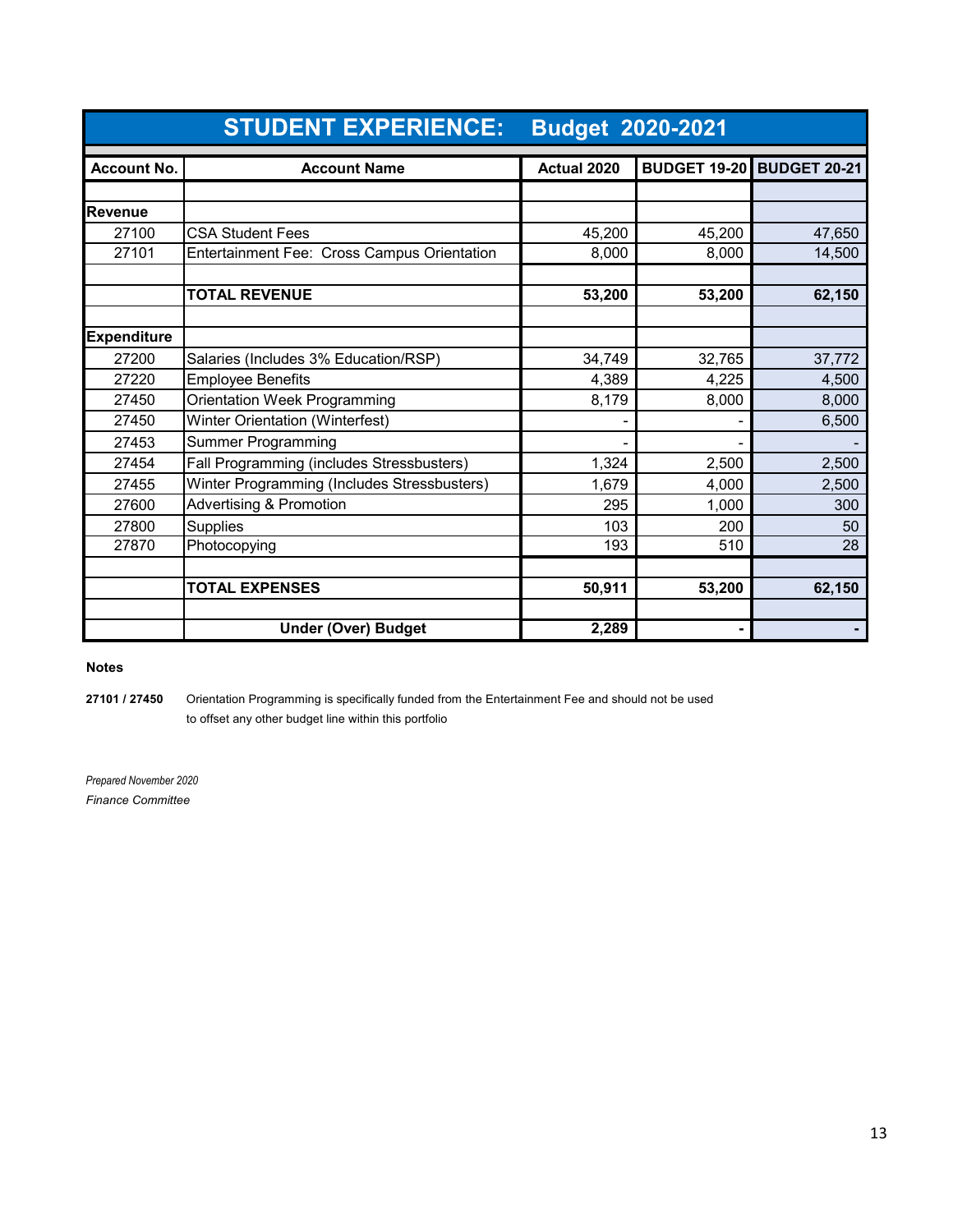|                    | <b>STUDENT EXPERIENCE:</b><br><b>Budget 2020-2021</b> |             |                                  |        |
|--------------------|-------------------------------------------------------|-------------|----------------------------------|--------|
| <b>Account No.</b> | <b>Account Name</b>                                   | Actual 2020 | <b>BUDGET 19-20 BUDGET 20-21</b> |        |
|                    |                                                       |             |                                  |        |
| <b>Revenue</b>     |                                                       |             |                                  |        |
| 27100              | <b>CSA Student Fees</b>                               | 45,200      | 45,200                           | 47,650 |
| 27101              | Entertainment Fee: Cross Campus Orientation           | 8,000       | 8,000                            | 14,500 |
|                    |                                                       |             |                                  |        |
|                    | <b>TOTAL REVENUE</b>                                  | 53,200      | 53,200                           | 62,150 |
|                    |                                                       |             |                                  |        |
| <b>Expenditure</b> |                                                       |             |                                  |        |
| 27200              | Salaries (Includes 3% Education/RSP)                  | 34,749      | 32,765                           | 37,772 |
| 27220              | <b>Employee Benefits</b>                              | 4,389       | 4,225                            | 4,500  |
| 27450              | Orientation Week Programming                          | 8,179       | 8,000                            | 8,000  |
| 27450              | Winter Orientation (Winterfest)                       |             |                                  | 6,500  |
| 27453              | <b>Summer Programming</b>                             |             |                                  |        |
| 27454              | Fall Programming (includes Stressbusters)             | 1,324       | 2,500                            | 2,500  |
| 27455              | Winter Programming (Includes Stressbusters)           | 1,679       | 4,000                            | 2,500  |
| 27600              | <b>Advertising &amp; Promotion</b>                    | 295         | 1,000                            | 300    |
| 27800              | <b>Supplies</b>                                       | 103         | 200                              | 50     |
| 27870              | Photocopying                                          | 193         | 510                              | 28     |
|                    |                                                       |             |                                  |        |
|                    | <b>TOTAL EXPENSES</b>                                 | 50,911      | 53,200                           | 62,150 |
|                    |                                                       |             |                                  |        |
|                    | <b>Under (Over) Budget</b>                            | 2,289       |                                  |        |

#### **Notes**

**27101 / 27450** Orientation Programming is specifically funded from the Entertainment Fee and should not be used to offset any other budget line within this portfolio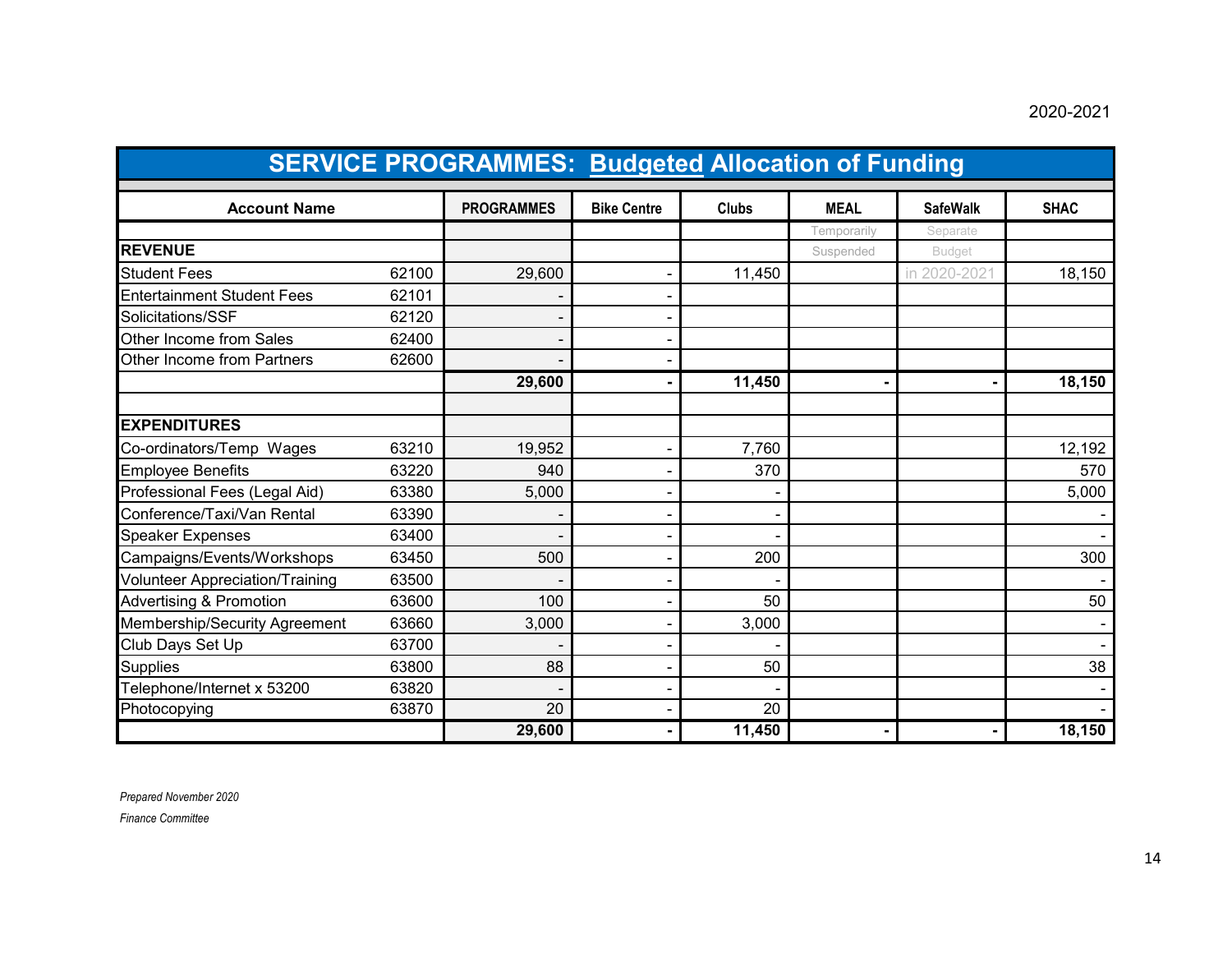#### 2020-2021

|                                        | <b>SERVICE PROGRAMMES: Budgeted Allocation of Funding</b> |                   |                    |              |             |                 |             |
|----------------------------------------|-----------------------------------------------------------|-------------------|--------------------|--------------|-------------|-----------------|-------------|
| <b>Account Name</b>                    |                                                           | <b>PROGRAMMES</b> | <b>Bike Centre</b> | <b>Clubs</b> | <b>MEAL</b> | <b>SafeWalk</b> | <b>SHAC</b> |
|                                        |                                                           |                   |                    |              | Temporarily | Separate        |             |
| <b>REVENUE</b>                         |                                                           |                   |                    |              | Suspended   | <b>Budget</b>   |             |
| <b>Student Fees</b>                    | 62100                                                     | 29,600            |                    | 11,450       |             | in 2020-202     | 18,150      |
| <b>Entertainment Student Fees</b>      | 62101                                                     |                   |                    |              |             |                 |             |
| Solicitations/SSF                      | 62120                                                     |                   |                    |              |             |                 |             |
| Other Income from Sales                | 62400                                                     |                   |                    |              |             |                 |             |
| Other Income from Partners             | 62600                                                     |                   |                    |              |             |                 |             |
|                                        |                                                           | 29,600            |                    | 11,450       |             |                 | 18,150      |
| <b>EXPENDITURES</b>                    |                                                           |                   |                    |              |             |                 |             |
| Co-ordinators/Temp Wages               | 63210                                                     | 19,952            |                    | 7,760        |             |                 | 12,192      |
| <b>Employee Benefits</b>               | 63220                                                     | 940               |                    | 370          |             |                 | 570         |
| Professional Fees (Legal Aid)          | 63380                                                     | 5,000             |                    |              |             |                 | 5,000       |
| Conference/Taxi/Van Rental             | 63390                                                     |                   |                    |              |             |                 |             |
| <b>Speaker Expenses</b>                | 63400                                                     |                   |                    |              |             |                 |             |
| Campaigns/Events/Workshops             | 63450                                                     | 500               |                    | 200          |             |                 | 300         |
| <b>Volunteer Appreciation/Training</b> | 63500                                                     |                   |                    |              |             |                 |             |
| <b>Advertising &amp; Promotion</b>     | 63600                                                     | 100               |                    | 50           |             |                 | 50          |
| Membership/Security Agreement          | 63660                                                     | 3,000             |                    | 3,000        |             |                 |             |
| Club Days Set Up                       | 63700                                                     |                   |                    |              |             |                 |             |
| <b>Supplies</b>                        | 63800                                                     | 88                |                    | 50           |             |                 | 38          |
| Telephone/Internet x 53200             | 63820                                                     |                   |                    |              |             |                 |             |
| Photocopying                           | 63870                                                     | 20                |                    | 20           |             |                 |             |
|                                        |                                                           | 29,600            |                    | 11,450       |             |                 | 18,150      |

*Prepared November 2020*

*Finance Committee*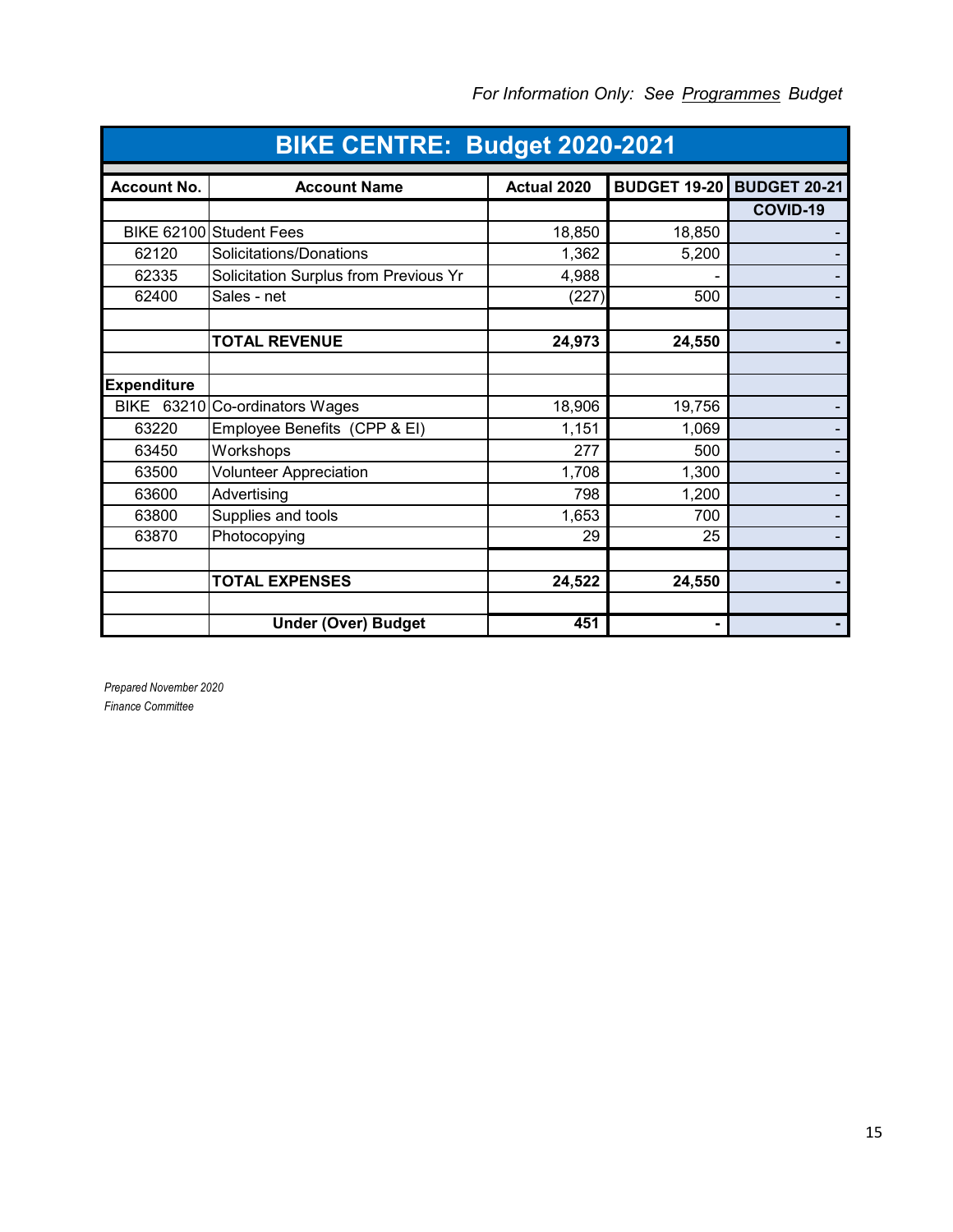| BIKE CENTRE: Budget 2020-2021 |                                       |             |                                  |          |  |
|-------------------------------|---------------------------------------|-------------|----------------------------------|----------|--|
| <b>Account No.</b>            | <b>Account Name</b>                   | Actual 2020 | <b>BUDGET 19-20 BUDGET 20-21</b> |          |  |
|                               |                                       |             |                                  | COVID-19 |  |
|                               | BIKE 62100 Student Fees               | 18,850      | 18,850                           |          |  |
| 62120                         | Solicitations/Donations               | 1,362       | 5,200                            |          |  |
| 62335                         | Solicitation Surplus from Previous Yr | 4,988       |                                  |          |  |
| 62400                         | Sales - net                           | (227)       | 500                              |          |  |
|                               |                                       |             |                                  |          |  |
|                               | <b>TOTAL REVENUE</b>                  | 24,973      | 24,550                           |          |  |
|                               |                                       |             |                                  |          |  |
| <b>Expenditure</b>            |                                       |             |                                  |          |  |
|                               | BIKE 63210 Co-ordinators Wages        | 18,906      | 19,756                           |          |  |
| 63220                         | Employee Benefits (CPP & EI)          | 1,151       | 1,069                            |          |  |
| 63450                         | Workshops                             | 277         | 500                              |          |  |
| 63500                         | <b>Volunteer Appreciation</b>         | 1,708       | 1,300                            |          |  |
| 63600                         | Advertising                           | 798         | 1,200                            |          |  |
| 63800                         | Supplies and tools                    | 1,653       | 700                              |          |  |
| 63870                         | Photocopying                          | 29          | 25                               |          |  |
|                               |                                       |             |                                  |          |  |
|                               | <b>TOTAL EXPENSES</b>                 | 24,522      | 24,550                           |          |  |
|                               |                                       |             |                                  |          |  |
|                               | <b>Under (Over) Budget</b>            | 451         |                                  |          |  |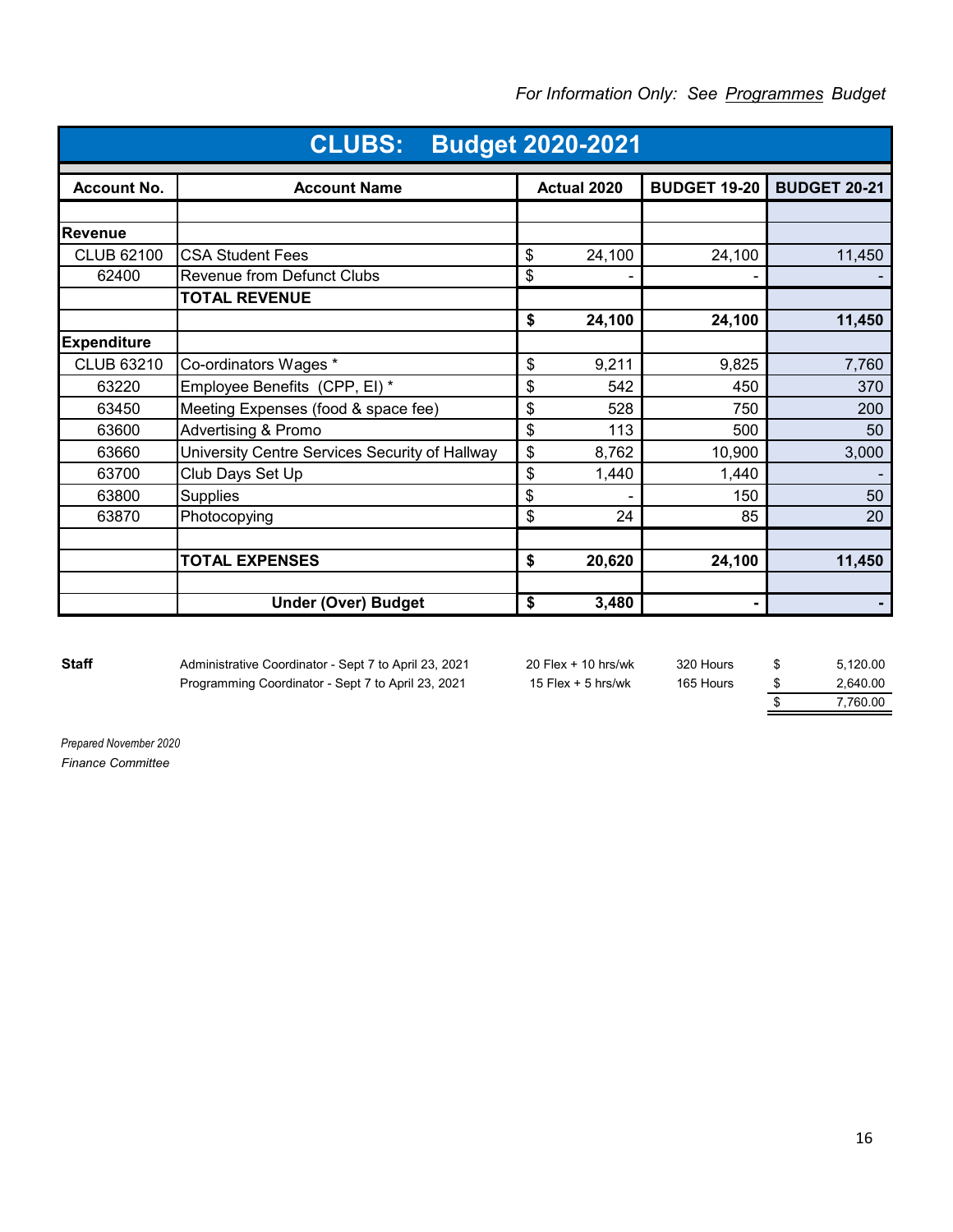| <b>CLUBS:</b><br><b>Budget 2020-2021</b> |                                                |    |             |                     |                     |
|------------------------------------------|------------------------------------------------|----|-------------|---------------------|---------------------|
| <b>Account No.</b>                       | <b>Account Name</b>                            |    | Actual 2020 | <b>BUDGET 19-20</b> | <b>BUDGET 20-21</b> |
|                                          |                                                |    |             |                     |                     |
| <b>Revenue</b>                           |                                                |    |             |                     |                     |
| <b>CLUB 62100</b>                        | <b>CSA Student Fees</b>                        | \$ | 24,100      | 24,100              | 11,450              |
| 62400                                    | <b>Revenue from Defunct Clubs</b>              | \$ |             |                     |                     |
|                                          | <b>TOTAL REVENUE</b>                           |    |             |                     |                     |
|                                          |                                                | \$ | 24,100      | 24,100              | 11,450              |
| <b>Expenditure</b>                       |                                                |    |             |                     |                     |
| <b>CLUB 63210</b>                        | Co-ordinators Wages *                          | \$ | 9,211       | 9,825               | 7,760               |
| 63220                                    | Employee Benefits (CPP, EI) *                  | \$ | 542         | 450                 | 370                 |
| 63450                                    | Meeting Expenses (food & space fee)            | \$ | 528         | 750                 | 200                 |
| 63600                                    | <b>Advertising &amp; Promo</b>                 | \$ | 113         | 500                 | 50                  |
| 63660                                    | University Centre Services Security of Hallway | \$ | 8,762       | 10,900              | 3,000               |
| 63700                                    | Club Days Set Up                               | \$ | 1,440       | 1,440               |                     |
| 63800                                    | <b>Supplies</b>                                | \$ |             | 150                 | 50                  |
| 63870                                    | Photocopying                                   | \$ | 24          | 85                  | 20                  |
|                                          |                                                |    |             |                     |                     |
|                                          | <b>TOTAL EXPENSES</b>                          | \$ | 20,620      | 24,100              | 11,450              |
|                                          |                                                |    |             |                     |                     |
|                                          | <b>Under (Over) Budget</b>                     | \$ | 3,480       | ۰                   |                     |

#### *For Information Only: See Programmes Budget*

Staff Administrative Coordinator - Sept 7 to April 23, 2021 20 Flex + 10 hrs/wk 320 Hours \$ 5,120.00 Programming Coordinator - Sept 7 to April 23, 2021 15 Flex + 5 hrs/wk 165 Hours  $\frac{\$}{\$}$  2,640.00<br>7,760.00

\$ 7,760.00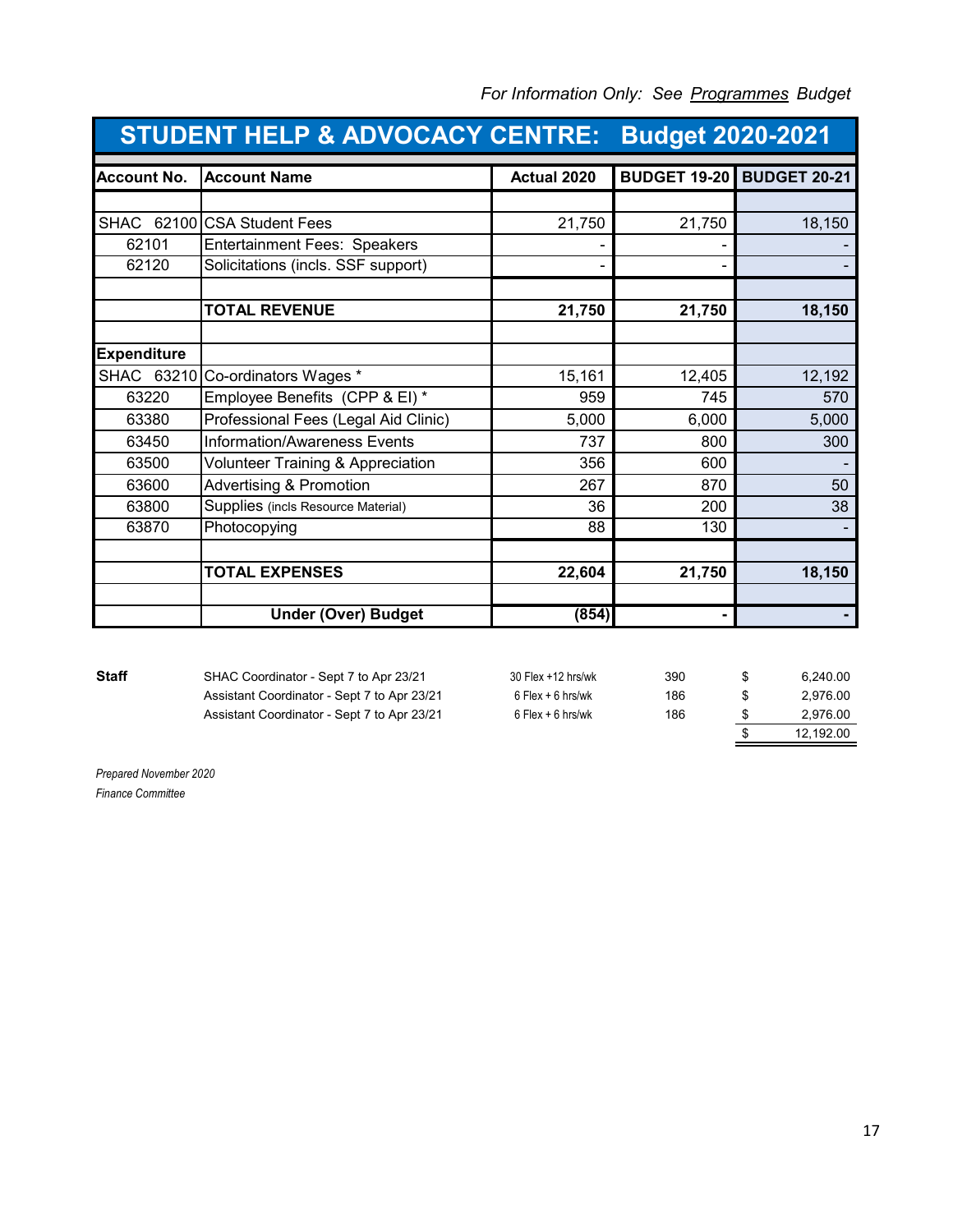| <b>STUDENT HELP &amp; ADVOCACY CENTRE:</b> |                                      |             | <b>Budget 2020-2021</b> |                     |
|--------------------------------------------|--------------------------------------|-------------|-------------------------|---------------------|
| <b>Account No.</b>                         | <b>Account Name</b>                  | Actual 2020 | <b>BUDGET 19-20</b>     | <b>BUDGET 20-21</b> |
|                                            |                                      |             |                         |                     |
| SHAC                                       | 62100 CSA Student Fees               | 21,750      | 21,750                  | 18,150              |
| 62101                                      | <b>Entertainment Fees: Speakers</b>  |             |                         |                     |
| 62120                                      | Solicitations (incls. SSF support)   |             |                         |                     |
|                                            |                                      |             |                         |                     |
|                                            | <b>TOTAL REVENUE</b>                 | 21,750      | 21,750                  | 18,150              |
|                                            |                                      |             |                         |                     |
| <b>Expenditure</b>                         |                                      |             |                         |                     |
| SHAC 63210                                 | Co-ordinators Wages *                | 15,161      | 12,405                  | 12,192              |
| 63220                                      | Employee Benefits (CPP & EI)*        | 959         | 745                     | 570                 |
| 63380                                      | Professional Fees (Legal Aid Clinic) | 5,000       | 6,000                   | 5,000               |
| 63450                                      | <b>Information/Awareness Events</b>  | 737         | 800                     | 300                 |
| 63500                                      | Volunteer Training & Appreciation    | 356         | 600                     |                     |
| 63600                                      | <b>Advertising &amp; Promotion</b>   | 267         | 870                     | 50                  |
| 63800                                      | Supplies (incls Resource Material)   | 36          | 200                     | 38                  |
| 63870                                      | Photocopying                         | 88          | 130                     |                     |
|                                            |                                      |             |                         |                     |
|                                            | <b>TOTAL EXPENSES</b>                | 22,604      | 21,750                  | 18,150              |
|                                            |                                      |             |                         |                     |
|                                            | <b>Under (Over) Budget</b>           | (854)       | -                       |                     |

**Staff** SHAC Coordinator - Sept 7 to Apr 23/21 Assistant Coordinator - Sept 7 to Apr 23/21 Assistant Coordinator - Sept 7 to Apr 23/21

| 30 Flex +12 hrs/wk  | 390 | \$<br>6.240.00  |
|---------------------|-----|-----------------|
| $6$ Flex + 6 hrs/wk | 186 | \$<br>2.976.00  |
| $6$ Flex + 6 hrs/wk | 186 | \$<br>2,976.00  |
|                     |     | \$<br>12.192.00 |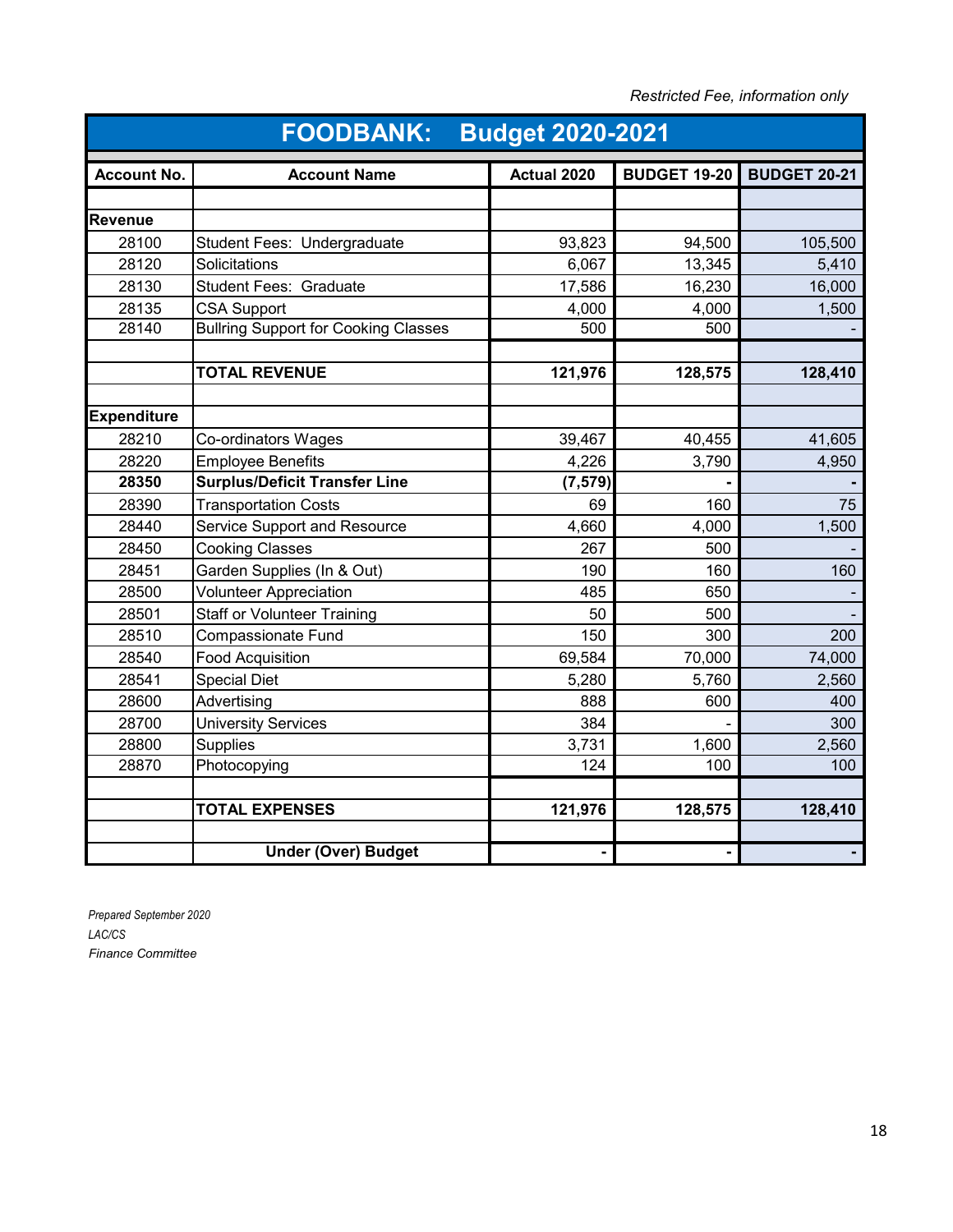| Restricted Fee, information only |  |  |
|----------------------------------|--|--|
|----------------------------------|--|--|

|                    | <b>Budget 2020-2021</b><br><b>FOODBANK:</b> |             |                     |                     |  |
|--------------------|---------------------------------------------|-------------|---------------------|---------------------|--|
| <b>Account No.</b> | <b>Account Name</b>                         | Actual 2020 | <b>BUDGET 19-20</b> | <b>BUDGET 20-21</b> |  |
|                    |                                             |             |                     |                     |  |
| Revenue            |                                             |             |                     |                     |  |
| 28100              | Student Fees: Undergraduate                 | 93,823      | 94,500              | 105,500             |  |
| 28120              | Solicitations                               | 6,067       | 13,345              | 5,410               |  |
| 28130              | <b>Student Fees: Graduate</b>               | 17,586      | 16,230              | 16,000              |  |
| 28135              | <b>CSA Support</b>                          | 4,000       | 4,000               | 1,500               |  |
| 28140              | <b>Bullring Support for Cooking Classes</b> | 500         | 500                 |                     |  |
|                    | <b>TOTAL REVENUE</b>                        | 121,976     | 128,575             | 128,410             |  |
|                    |                                             |             |                     |                     |  |
| <b>Expenditure</b> |                                             |             |                     |                     |  |
| 28210              | Co-ordinators Wages                         | 39,467      | 40,455              | 41,605              |  |
| 28220              | <b>Employee Benefits</b>                    | 4,226       | 3,790               | 4,950               |  |
| 28350              | <b>Surplus/Deficit Transfer Line</b>        | (7, 579)    |                     |                     |  |
| 28390              | <b>Transportation Costs</b>                 | 69          | 160                 | 75                  |  |
| 28440              | Service Support and Resource                | 4,660       | 4,000               | 1,500               |  |
| 28450              | <b>Cooking Classes</b>                      | 267         | 500                 |                     |  |
| 28451              | Garden Supplies (In & Out)                  | 190         | 160                 | 160                 |  |
| 28500              | <b>Volunteer Appreciation</b>               | 485         | 650                 |                     |  |
| 28501              | <b>Staff or Volunteer Training</b>          | 50          | 500                 |                     |  |
| 28510              | <b>Compassionate Fund</b>                   | 150         | 300                 | 200                 |  |
| 28540              | <b>Food Acquisition</b>                     | 69,584      | 70,000              | 74,000              |  |
| 28541              | <b>Special Diet</b>                         | 5,280       | 5,760               | 2,560               |  |
| 28600              | Advertising                                 | 888         | 600                 | 400                 |  |
| 28700              | <b>University Services</b>                  | 384         |                     | 300                 |  |
| 28800              | <b>Supplies</b>                             | 3,731       | 1,600               | 2,560               |  |
| 28870              | Photocopying                                | 124         | 100                 | 100                 |  |
|                    | <b>TOTAL EXPENSES</b>                       | 121,976     | 128,575             | 128,410             |  |
|                    |                                             |             |                     |                     |  |
|                    | <b>Under (Over) Budget</b>                  |             |                     |                     |  |

*LAC/CS Finance Committee Prepared September 2020*